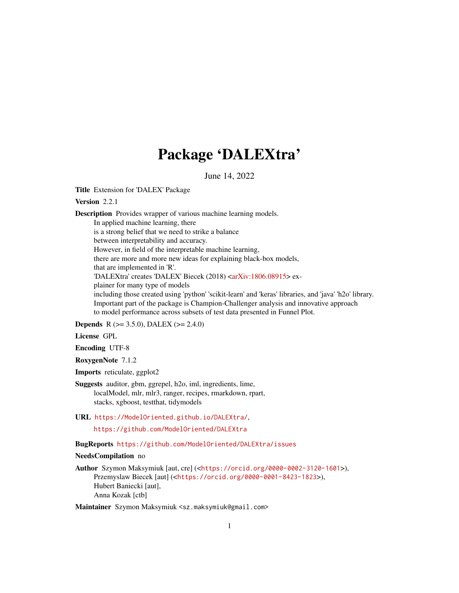# Package 'DALEXtra'

June 14, 2022

<span id="page-0-0"></span>Title Extension for 'DALEX' Package

# Version 2.2.1

Description Provides wrapper of various machine learning models. In applied machine learning, there is a strong belief that we need to strike a balance between interpretability and accuracy. However, in field of the interpretable machine learning, there are more and more new ideas for explaining black-box models, that are implemented in 'R'. 'DALEXtra' creates 'DALEX' Biecek (2018) [<arXiv:1806.08915>](https://arxiv.org/abs/1806.08915) explainer for many type of models including those created using 'python' 'scikit-learn' and 'keras' libraries, and 'java' 'h2o' library. Important part of the package is Champion-Challenger analysis and innovative approach to model performance across subsets of test data presented in Funnel Plot.

**Depends** R ( $>= 3.5.0$ ), DALEX ( $>= 2.4.0$ )

#### License GPL

Encoding UTF-8

RoxygenNote 7.1.2

Imports reticulate, ggplot2

- Suggests auditor, gbm, ggrepel, h2o, iml, ingredients, lime, localModel, mlr, mlr3, ranger, recipes, rmarkdown, rpart, stacks, xgboost, testthat, tidymodels
- URL <https://ModelOriented.github.io/DALEXtra/>,

<https://github.com/ModelOriented/DALEXtra>

# BugReports <https://github.com/ModelOriented/DALEXtra/issues>

#### NeedsCompilation no

Author Szymon Maksymiuk [aut, cre] (<<https://orcid.org/0000-0002-3120-1601>>), Przemyslaw Biecek [aut] (<<https://orcid.org/0000-0001-8423-1823>>), Hubert Baniecki [aut], Anna Kozak [ctb]

Maintainer Szymon Maksymiuk <sz.maksymiuk@gmail.com>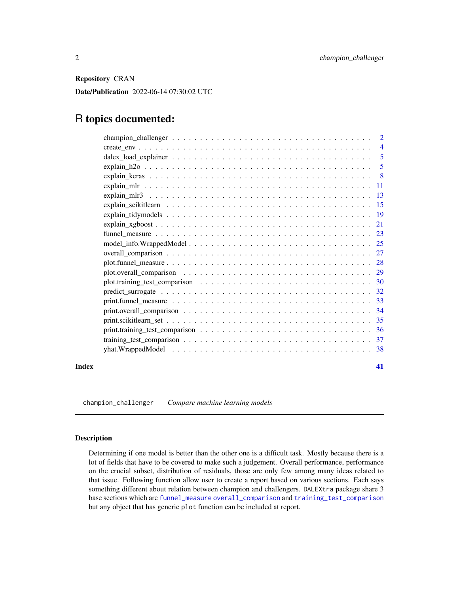<span id="page-1-0"></span>Repository CRAN

Date/Publication 2022-06-14 07:30:02 UTC

# R topics documented:

|       | $create\_env \dots \dots \dots \dots \dots \dots \dots \dots \dots \dots \dots \dots \dots \dots \dots \dots \dots$ | $\overline{4}$ |
|-------|---------------------------------------------------------------------------------------------------------------------|----------------|
|       |                                                                                                                     |                |
|       |                                                                                                                     | 5              |
|       |                                                                                                                     |                |
|       |                                                                                                                     |                |
|       |                                                                                                                     |                |
|       |                                                                                                                     |                |
|       |                                                                                                                     |                |
|       |                                                                                                                     |                |
|       |                                                                                                                     |                |
|       |                                                                                                                     |                |
|       |                                                                                                                     |                |
|       |                                                                                                                     |                |
|       |                                                                                                                     |                |
|       |                                                                                                                     |                |
|       |                                                                                                                     |                |
|       |                                                                                                                     |                |
|       |                                                                                                                     |                |
|       |                                                                                                                     |                |
|       |                                                                                                                     |                |
|       |                                                                                                                     |                |
|       |                                                                                                                     |                |
| Index |                                                                                                                     | 41             |

champion\_challenger *Compare machine learning models*

#### Description

Determining if one model is better than the other one is a difficult task. Mostly because there is a lot of fields that have to be covered to make such a judgement. Overall performance, performance on the crucial subset, distribution of residuals, those are only few among many ideas related to that issue. Following function allow user to create a report based on various sections. Each says something different about relation between champion and challengers. DALEXtra package share 3 base sections which are [funnel\\_measure](#page-22-1) [overall\\_comparison](#page-26-1) and [training\\_test\\_comparison](#page-36-1) but any object that has generic plot function can be included at report.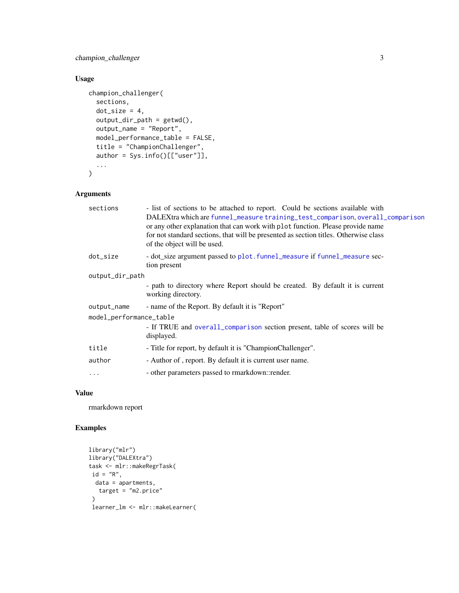# <span id="page-2-0"></span>champion\_challenger 3

# Usage

```
champion_challenger(
  sections,
 dot\_size = 4,
 output\_dir\_path = getwd(),
 output_name = "Report",
 model_performance_table = FALSE,
  title = "ChampionChallenger",
  author = Sys.info()[["user"]],
  ...
\mathcal{L}
```
# Arguments

| sections                | - list of sections to be attached to report. Could be sections available with<br>DALEXtra which are funnel_measure training_test_comparison, overall_comparison<br>or any other explanation that can work with plot function. Please provide name<br>for not standard sections, that will be presented as section titles. Otherwise class<br>of the object will be used. |  |
|-------------------------|--------------------------------------------------------------------------------------------------------------------------------------------------------------------------------------------------------------------------------------------------------------------------------------------------------------------------------------------------------------------------|--|
| dot_size                | - dot_size argument passed to plot. funnel_measure if funnel_measure sec-<br>tion present                                                                                                                                                                                                                                                                                |  |
| output_dir_path         |                                                                                                                                                                                                                                                                                                                                                                          |  |
|                         | - path to directory where Report should be created. By default it is current<br>working directory.                                                                                                                                                                                                                                                                       |  |
| output_name             | - name of the Report. By default it is "Report"                                                                                                                                                                                                                                                                                                                          |  |
| model_performance_table |                                                                                                                                                                                                                                                                                                                                                                          |  |
|                         | - If TRUE and overall_comparison section present, table of scores will be<br>displayed.                                                                                                                                                                                                                                                                                  |  |
| title                   | - Title for report, by default it is "ChampionChallenger".                                                                                                                                                                                                                                                                                                               |  |
| author                  | - Author of, report. By default it is current user name.                                                                                                                                                                                                                                                                                                                 |  |
| $\ddotsc$               | - other parameters passed to rmarkdown::render.                                                                                                                                                                                                                                                                                                                          |  |
|                         |                                                                                                                                                                                                                                                                                                                                                                          |  |

#### Value

rmarkdown report

```
library("mlr")
library("DALEXtra")
task <- mlr::makeRegrTask(
id = "R",data = apartments,
  target = "m2.price"
 \mathcal{L}learner_lm <- mlr::makeLearner(
```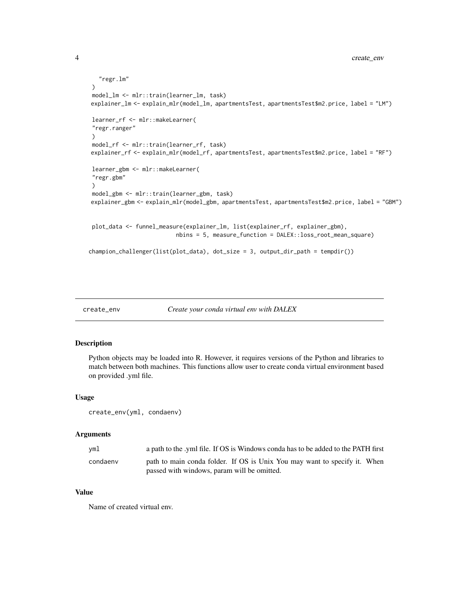```
"regr.lm"
)
model_lm <- mlr::train(learner_lm, task)
explainer_lm <- explain_mlr(model_lm, apartmentsTest, apartmentsTest$m2.price, label = "LM")
learner_rf <- mlr::makeLearner(
"regr.ranger"
)
model_rf <- mlr::train(learner_rf, task)
explainer_rf <- explain_mlr(model_rf, apartmentsTest, apartmentsTest$m2.price, label = "RF")
learner_gbm <- mlr::makeLearner(
"regr.gbm"
)
model_gbm <- mlr::train(learner_gbm, task)
explainer_gbm <- explain_mlr(model_gbm, apartmentsTest, apartmentsTest$m2.price, label = "GBM")
plot_data <- funnel_measure(explainer_lm, list(explainer_rf, explainer_gbm),
                          nbins = 5, measure_function = DALEX::loss_root_mean_square)
champion_challenger(list(plot_data), dot_size = 3, output_dir_path = tempdir())
```

```
create_env Create your conda virtual env with DALEX
```
# Description

Python objects may be loaded into R. However, it requires versions of the Python and libraries to match between both machines. This functions allow user to create conda virtual environment based on provided .yml file.

#### Usage

create\_env(yml, condaenv)

#### Arguments

| yml      | a path to the .yml file. If OS is Windows conda has to be added to the PATH first |
|----------|-----------------------------------------------------------------------------------|
| condaeny | path to main conda folder. If OS is Unix You may want to specify it. When         |
|          | passed with windows, param will be omitted.                                       |

#### Value

Name of created virtual env.

<span id="page-3-0"></span>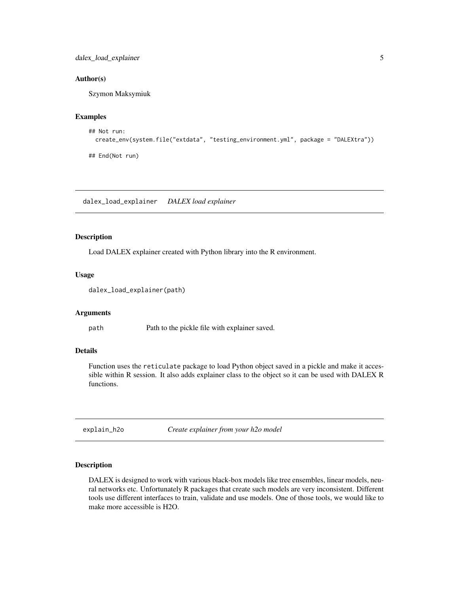# <span id="page-4-0"></span>dalex\_load\_explainer 5

#### Author(s)

Szymon Maksymiuk

#### Examples

```
## Not run:
 create_env(system.file("extdata", "testing_environment.yml", package = "DALEXtra"))
```
## End(Not run)

dalex\_load\_explainer *DALEX load explainer*

#### Description

Load DALEX explainer created with Python library into the R environment.

#### Usage

```
dalex_load_explainer(path)
```
#### Arguments

path Path to the pickle file with explainer saved.

# Details

Function uses the reticulate package to load Python object saved in a pickle and make it accessible within R session. It also adds explainer class to the object so it can be used with DALEX R functions.

<span id="page-4-1"></span>explain\_h2o *Create explainer from your h2o model*

#### Description

DALEX is designed to work with various black-box models like tree ensembles, linear models, neural networks etc. Unfortunately R packages that create such models are very inconsistent. Different tools use different interfaces to train, validate and use models. One of those tools, we would like to make more accessible is H2O.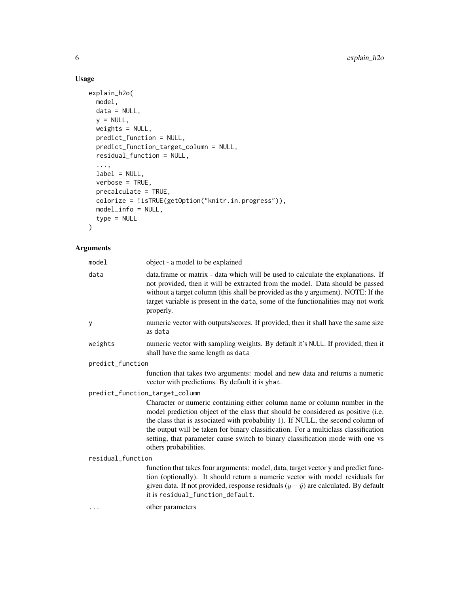# Usage

```
explain_h2o(
  model,
  data = NULL,y = NULL,weights = NULL,
  predict_function = NULL,
  predict_function_target_column = NULL,
  residual_function = NULL,
  ...,
  label = NULL,
  verbose = TRUE,
  precalculate = TRUE,
  colorize = !isTRUE(getOption("knitr.in.progress")),
  model_info = NULL,
  type = NULL
\mathcal{L}
```

| model             | object - a model to be explained                                                                                                                                                                                                                                                                                                                                                                                                                    |  |
|-------------------|-----------------------------------------------------------------------------------------------------------------------------------------------------------------------------------------------------------------------------------------------------------------------------------------------------------------------------------------------------------------------------------------------------------------------------------------------------|--|
| data              | data.frame or matrix - data which will be used to calculate the explanations. If<br>not provided, then it will be extracted from the model. Data should be passed<br>without a target column (this shall be provided as the y argument). NOTE: If the<br>target variable is present in the data, some of the functionalities may not work<br>properly.                                                                                              |  |
| У                 | numeric vector with outputs/scores. If provided, then it shall have the same size<br>as data                                                                                                                                                                                                                                                                                                                                                        |  |
| weights           | numeric vector with sampling weights. By default it's NULL. If provided, then it<br>shall have the same length as data                                                                                                                                                                                                                                                                                                                              |  |
| predict_function  |                                                                                                                                                                                                                                                                                                                                                                                                                                                     |  |
|                   | function that takes two arguments: model and new data and returns a numeric<br>vector with predictions. By default it is yhat.                                                                                                                                                                                                                                                                                                                      |  |
|                   | predict_function_target_column                                                                                                                                                                                                                                                                                                                                                                                                                      |  |
|                   | Character or numeric containing either column name or column number in the<br>model prediction object of the class that should be considered as positive (i.e.<br>the class that is associated with probability 1). If NULL, the second column of<br>the output will be taken for binary classification. For a multiclass classification<br>setting, that parameter cause switch to binary classification mode with one vs<br>others probabilities. |  |
| residual_function |                                                                                                                                                                                                                                                                                                                                                                                                                                                     |  |
|                   | function that takes four arguments: model, data, target vector y and predict func-<br>tion (optionally). It should return a numeric vector with model residuals for<br>given data. If not provided, response residuals $(y - \hat{y})$ are calculated. By default<br>it is residual_function_default.                                                                                                                                               |  |
| $\cdots$          | other parameters                                                                                                                                                                                                                                                                                                                                                                                                                                    |  |
|                   |                                                                                                                                                                                                                                                                                                                                                                                                                                                     |  |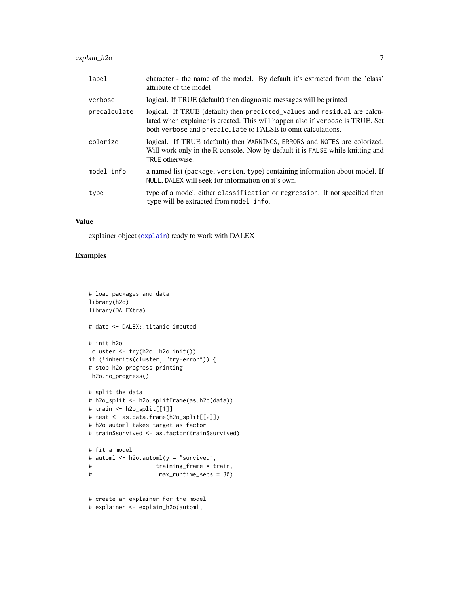<span id="page-6-0"></span>

| label        | character - the name of the model. By default it's extracted from the 'class'<br>attribute of the model                                                                                                                    |
|--------------|----------------------------------------------------------------------------------------------------------------------------------------------------------------------------------------------------------------------------|
| verbose      | logical. If TRUE (default) then diagnostic messages will be printed                                                                                                                                                        |
| precalculate | logical. If TRUE (default) then predicted_values and residual are calcu-<br>lated when explainer is created. This will happen also if verbose is TRUE. Set<br>both verbose and precalculate to FALSE to omit calculations. |
| colorize     | logical. If TRUE (default) then WARNINGS, ERRORS and NOTES are colorized.<br>Will work only in the R console. Now by default it is FALSE while knitting and<br>TRUE otherwise.                                             |
| model_info   | a named list (package, version, type) containing information about model. If<br>NULL, DALEX will seek for information on it's own.                                                                                         |
| type         | type of a model, either classification or regression. If not specified then<br>type will be extracted from model_info.                                                                                                     |

#### Value

explainer object ([explain](#page-0-0)) ready to work with DALEX

```
# load packages and data
library(h2o)
library(DALEXtra)
# data <- DALEX::titanic_imputed
# init h2o
cluster <- try(h2o::h2o.init())
if (!inherits(cluster, "try-error")) {
# stop h2o progress printing
h2o.no_progress()
# split the data
# h2o_split <- h2o.splitFrame(as.h2o(data))
# train <- h2o_split[[1]]
# test <- as.data.frame(h2o_split[[2]])
# h2o automl takes target as factor
# train$survived <- as.factor(train$survived)
# fit a model
# automl <- h2o.automl(y = "survived",
# training_frame = train,
# max_runtime_secs = 30)
# create an explainer for the model
# explainer <- explain_h2o(automl,
```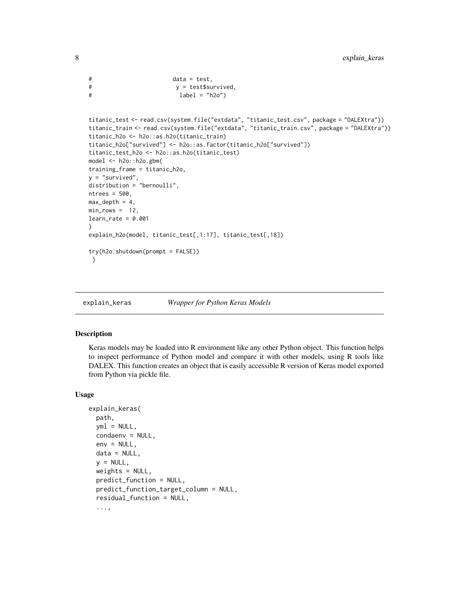```
# data = test,
# y = test$survived,
# label = "h2o")
titanic_test <- read.csv(system.file("extdata", "titanic_test.csv", package = "DALEXtra"))
titanic_train <- read.csv(system.file("extdata", "titanic_train.csv", package = "DALEXtra"))
titanic_h2o <- h2o::as.h2o(titanic_train)
titanic_h2o["survived"] <- h2o::as.factor(titanic_h2o["survived"])
titanic_test_h2o <- h2o::as.h2o(titanic_test)
model <- h2o::h2o.gbm(
training_frame = titanic_h2o,
y = "survived",distribution = "bernoulli",
ntrees = 500,
max\_depth = 4,
min\_rows = 12,
learn_rate = 0.001\mathcal{L}explain_h2o(model, titanic_test[,1:17], titanic_test[,18])
try(h2o.shutdown(prompt = FALSE))
}
```
<span id="page-7-1"></span>explain\_keras *Wrapper for Python Keras Models*

#### Description

Keras models may be loaded into R environment like any other Python object. This function helps to inspect performance of Python model and compare it with other models, using R tools like DALEX. This function creates an object that is easily accessible R version of Keras model exported from Python via pickle file.

#### Usage

```
explain_keras(
 path,
  yml = NULL,condaenv = NULL,
  env = NULL,data = NULL,
  y = NULL,
 weights = NULL,
 predict_function = NULL,
 predict_function_target_column = NULL,
  residual_function = NULL,
  ...,
```
<span id="page-7-0"></span>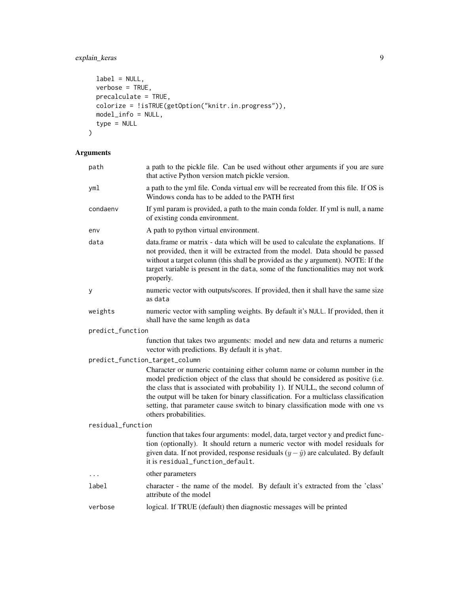# explain\_keras 9

```
label = NULL,verbose = TRUE,
 precalculate = TRUE,
 colorize = !isTRUE(getOption("knitr.in.progress")),
 model_info = NULL,
 type = NULL
\mathcal{L}
```

| path                           | a path to the pickle file. Can be used without other arguments if you are sure<br>that active Python version match pickle version.                                                                                                                                                                                                                                                                                                                  |  |
|--------------------------------|-----------------------------------------------------------------------------------------------------------------------------------------------------------------------------------------------------------------------------------------------------------------------------------------------------------------------------------------------------------------------------------------------------------------------------------------------------|--|
| yml                            | a path to the yml file. Conda virtual env will be recreated from this file. If OS is<br>Windows conda has to be added to the PATH first                                                                                                                                                                                                                                                                                                             |  |
| condaenv                       | If yml param is provided, a path to the main conda folder. If yml is null, a name<br>of existing conda environment.                                                                                                                                                                                                                                                                                                                                 |  |
| env                            | A path to python virtual environment.                                                                                                                                                                                                                                                                                                                                                                                                               |  |
| data                           | data.frame or matrix - data which will be used to calculate the explanations. If<br>not provided, then it will be extracted from the model. Data should be passed<br>without a target column (this shall be provided as the y argument). NOTE: If the<br>target variable is present in the data, some of the functionalities may not work<br>properly.                                                                                              |  |
| у                              | numeric vector with outputs/scores. If provided, then it shall have the same size<br>as data                                                                                                                                                                                                                                                                                                                                                        |  |
| weights                        | numeric vector with sampling weights. By default it's NULL. If provided, then it<br>shall have the same length as data                                                                                                                                                                                                                                                                                                                              |  |
| predict_function               |                                                                                                                                                                                                                                                                                                                                                                                                                                                     |  |
|                                | function that takes two arguments: model and new data and returns a numeric<br>vector with predictions. By default it is yhat.                                                                                                                                                                                                                                                                                                                      |  |
| predict_function_target_column |                                                                                                                                                                                                                                                                                                                                                                                                                                                     |  |
|                                | Character or numeric containing either column name or column number in the<br>model prediction object of the class that should be considered as positive (i.e.<br>the class that is associated with probability 1). If NULL, the second column of<br>the output will be taken for binary classification. For a multiclass classification<br>setting, that parameter cause switch to binary classification mode with one vs<br>others probabilities. |  |
| residual_function              |                                                                                                                                                                                                                                                                                                                                                                                                                                                     |  |
|                                | function that takes four arguments: model, data, target vector y and predict func-<br>tion (optionally). It should return a numeric vector with model residuals for<br>given data. If not provided, response residuals $(y - \hat{y})$ are calculated. By default<br>it is residual_function_default.                                                                                                                                               |  |
|                                | other parameters                                                                                                                                                                                                                                                                                                                                                                                                                                    |  |
| label                          | character - the name of the model. By default it's extracted from the 'class'<br>attribute of the model                                                                                                                                                                                                                                                                                                                                             |  |
| verbose                        | logical. If TRUE (default) then diagnostic messages will be printed                                                                                                                                                                                                                                                                                                                                                                                 |  |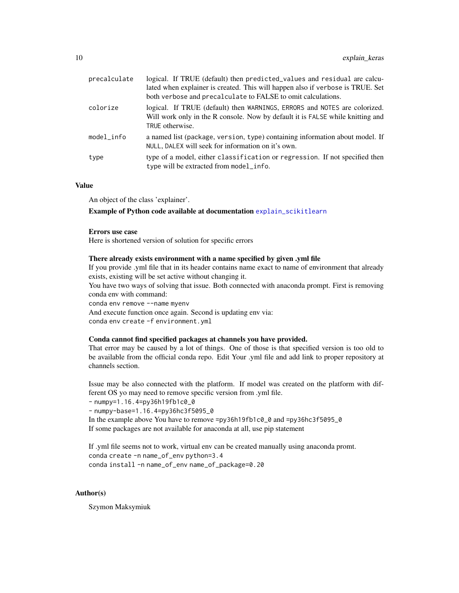<span id="page-9-0"></span>

| precalculate | logical. If TRUE (default) then predicted_values and residual are calcu-<br>lated when explainer is created. This will happen also if verbose is TRUE. Set<br>both verbose and precalculate to FALSE to omit calculations. |
|--------------|----------------------------------------------------------------------------------------------------------------------------------------------------------------------------------------------------------------------------|
| colorize     | logical. If TRUE (default) then WARNINGS, ERRORS and NOTES are colorized.<br>Will work only in the R console. Now by default it is FALSE while knitting and<br>TRUE otherwise.                                             |
| model_info   | a named list (package, version, type) containing information about model. If<br>NULL, DALEX will seek for information on it's own.                                                                                         |
| type         | type of a model, either classification or regression. If not specified then<br>type will be extracted from model_info.                                                                                                     |

#### Value

An object of the class 'explainer'.

#### Example of Python code available at documentation [explain\\_scikitlearn](#page-14-1)

#### Errors use case

Here is shortened version of solution for specific errors

#### There already exists environment with a name specified by given .yml file

If you provide .yml file that in its header contains name exact to name of environment that already exists, existing will be set active without changing it.

You have two ways of solving that issue. Both connected with anaconda prompt. First is removing conda env with command:

conda env remove --name myenv

And execute function once again. Second is updating env via: conda env create -f environment.yml

#### Conda cannot find specified packages at channels you have provided.

That error may be caused by a lot of things. One of those is that specified version is too old to be available from the official conda repo. Edit Your .yml file and add link to proper repository at channels section.

Issue may be also connected with the platform. If model was created on the platform with different OS yo may need to remove specific version from .yml file.

- numpy=1.16.4=py36h19fb1c0\_0

- numpy-base=1.16.4=py36hc3f5095\_0

In the example above You have to remove =py36h19fb1c0\_0 and =py36hc3f5095\_0 If some packages are not available for anaconda at all, use pip statement

If .yml file seems not to work, virtual env can be created manually using anaconda promt. conda create -n name\_of\_env python=3.4 conda install -n name\_of\_env name\_of\_package=0.20

#### Author(s)

Szymon Maksymiuk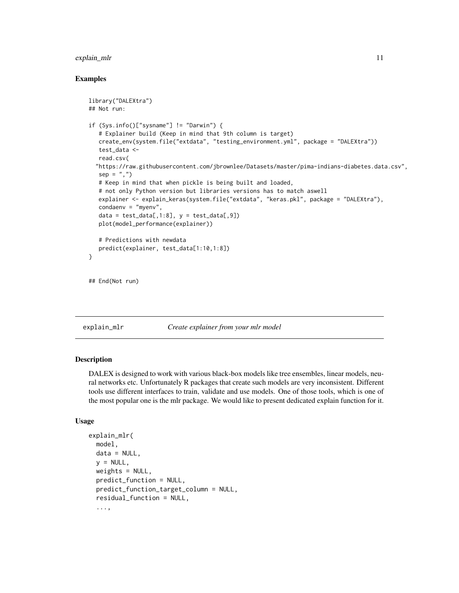#### <span id="page-10-0"></span>explain\_mlr 11

#### Examples

```
library("DALEXtra")
## Not run:
if (Sys.info()["sysname"] != "Darwin") {
   # Explainer build (Keep in mind that 9th column is target)
  create_env(system.file("extdata", "testing_environment.yml", package = "DALEXtra"))
   test_data <-
  read.csv(
  "https://raw.githubusercontent.com/jbrownlee/Datasets/master/pima-indians-diabetes.data.csv",
  sep = ","')# Keep in mind that when pickle is being built and loaded,
  # not only Python version but libraries versions has to match aswell
  explainer <- explain_keras(system.file("extdata", "keras.pkl", package = "DALEXtra"),
  condaenv = "myenv",
  data = test_data[, 1:8], y = test_data[, 9]plot(model_performance(explainer))
  # Predictions with newdata
  predict(explainer, test_data[1:10,1:8])
}
```

```
## End(Not run)
```
# <span id="page-10-1"></span>explain\_mlr *Create explainer from your mlr model*

#### **Description**

DALEX is designed to work with various black-box models like tree ensembles, linear models, neural networks etc. Unfortunately R packages that create such models are very inconsistent. Different tools use different interfaces to train, validate and use models. One of those tools, which is one of the most popular one is the mlr package. We would like to present dedicated explain function for it.

#### Usage

```
explain_mlr(
  model,
  data = NULL,
  y = NULL,
 weights = NULL,predict_function = NULL,
 predict_function_target_column = NULL,
  residual_function = NULL,
  ...,
```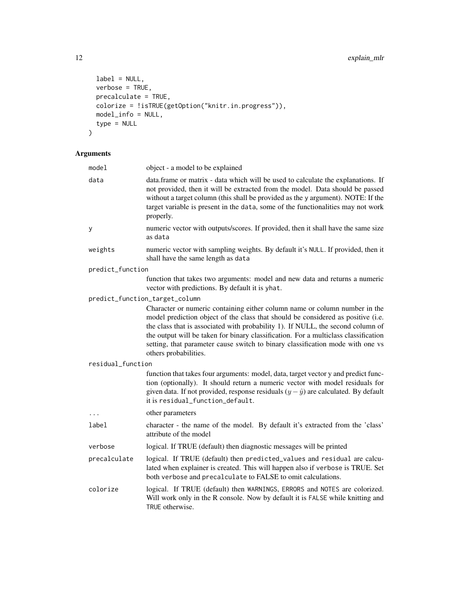```
label = NULL,verbose = TRUE,
 precalculate = TRUE,
 colorize = !isTRUE(getOption("knitr.in.progress")),
 model_info = NULL,
 type = NULL
\mathcal{L}
```

| model             | object - a model to be explained                                                                                                                                                                                                                                                                                                                                                                                                                    |
|-------------------|-----------------------------------------------------------------------------------------------------------------------------------------------------------------------------------------------------------------------------------------------------------------------------------------------------------------------------------------------------------------------------------------------------------------------------------------------------|
| data              | data.frame or matrix - data which will be used to calculate the explanations. If<br>not provided, then it will be extracted from the model. Data should be passed<br>without a target column (this shall be provided as the y argument). NOTE: If the<br>target variable is present in the data, some of the functionalities may not work<br>properly.                                                                                              |
| у                 | numeric vector with outputs/scores. If provided, then it shall have the same size<br>as data                                                                                                                                                                                                                                                                                                                                                        |
| weights           | numeric vector with sampling weights. By default it's NULL. If provided, then it<br>shall have the same length as data                                                                                                                                                                                                                                                                                                                              |
| predict_function  |                                                                                                                                                                                                                                                                                                                                                                                                                                                     |
|                   | function that takes two arguments: model and new data and returns a numeric<br>vector with predictions. By default it is yhat.                                                                                                                                                                                                                                                                                                                      |
|                   | predict_function_target_column                                                                                                                                                                                                                                                                                                                                                                                                                      |
|                   | Character or numeric containing either column name or column number in the<br>model prediction object of the class that should be considered as positive (i.e.<br>the class that is associated with probability 1). If NULL, the second column of<br>the output will be taken for binary classification. For a multiclass classification<br>setting, that parameter cause switch to binary classification mode with one vs<br>others probabilities. |
| residual_function |                                                                                                                                                                                                                                                                                                                                                                                                                                                     |
|                   | function that takes four arguments: model, data, target vector y and predict func-<br>tion (optionally). It should return a numeric vector with model residuals for<br>given data. If not provided, response residuals $(y - \hat{y})$ are calculated. By default<br>it is residual_function_default.                                                                                                                                               |
| .                 | other parameters                                                                                                                                                                                                                                                                                                                                                                                                                                    |
| label             | character - the name of the model. By default it's extracted from the 'class'<br>attribute of the model                                                                                                                                                                                                                                                                                                                                             |
| verbose           | logical. If TRUE (default) then diagnostic messages will be printed                                                                                                                                                                                                                                                                                                                                                                                 |
| precalculate      | logical. If TRUE (default) then predicted_values and residual are calcu-<br>lated when explainer is created. This will happen also if verbose is TRUE. Set<br>both verbose and precalculate to FALSE to omit calculations.                                                                                                                                                                                                                          |
| colorize          | logical. If TRUE (default) then WARNINGS, ERRORS and NOTES are colorized.<br>Will work only in the R console. Now by default it is FALSE while knitting and<br>TRUE otherwise.                                                                                                                                                                                                                                                                      |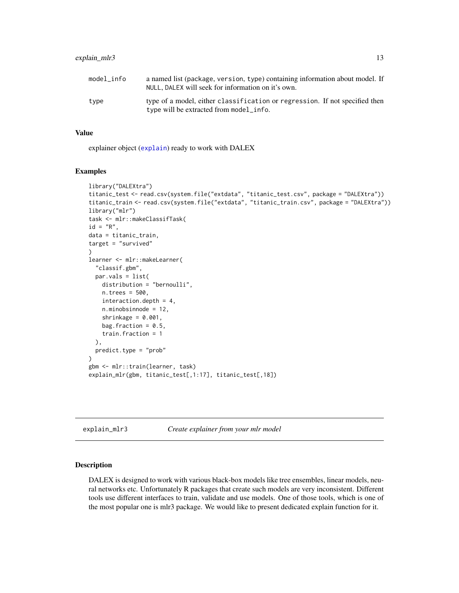# <span id="page-12-0"></span>explain\_mlr3 13

| model info | a named list (package, version, type) containing information about model. If<br>NULL, DALEX will seek for information on it's own. |
|------------|------------------------------------------------------------------------------------------------------------------------------------|
| type       | type of a model, either classification or regression. If not specified then<br>type will be extracted from model_info.             |

#### Value

explainer object ([explain](#page-0-0)) ready to work with DALEX

#### Examples

```
library("DALEXtra")
titanic_test <- read.csv(system.file("extdata", "titanic_test.csv", package = "DALEXtra"))
titanic_train <- read.csv(system.file("extdata", "titanic_train.csv", package = "DALEXtra"))
library("mlr")
task <- mlr::makeClassifTask(
id = "R",data = titanic_train,
target = "survived"
\lambdalearner <- mlr::makeLearner(
  "classif.gbm",
  par.vals = list(
    distribution = "bernoulli",
    n.trees = 500,
    interaction.depth = 4,
    n.minobsinnode = 12,
    shrinkage = 0.001,
    bag.fraction = 0.5,
    train.fraction = 1
  ),
  predict.type = "prob"
\mathcal{L}gbm <- mlr::train(learner, task)
explain_mlr(gbm, titanic_test[,1:17], titanic_test[,18])
```
<span id="page-12-1"></span>explain\_mlr3 *Create explainer from your mlr model*

### Description

DALEX is designed to work with various black-box models like tree ensembles, linear models, neural networks etc. Unfortunately R packages that create such models are very inconsistent. Different tools use different interfaces to train, validate and use models. One of those tools, which is one of the most popular one is mlr3 package. We would like to present dedicated explain function for it.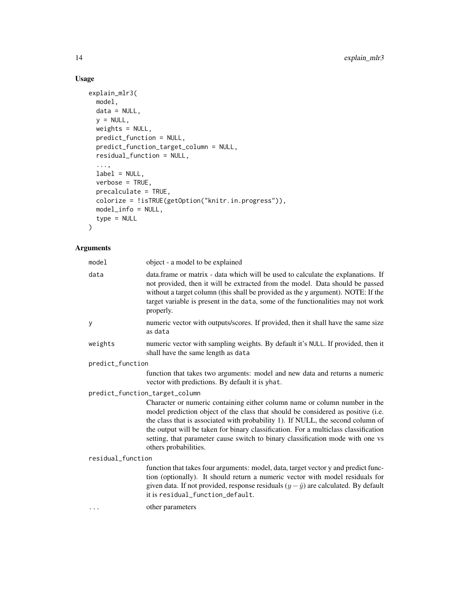# Usage

```
explain_mlr3(
 model,
 data = NULL,y = NULL,weights = NULL,
 predict_function = NULL,
 predict_function_target_column = NULL,
  residual_function = NULL,
  ...,
 label = NULL,verbose = TRUE,
 precalculate = TRUE,
 colorize = !isTRUE(getOption("knitr.in.progress")),
 model_info = NULL,
 type = NULL
\mathcal{L}
```

| model                          | object - a model to be explained                                                                                                                                                                                                                                                                                                                                                                                                                    |  |
|--------------------------------|-----------------------------------------------------------------------------------------------------------------------------------------------------------------------------------------------------------------------------------------------------------------------------------------------------------------------------------------------------------------------------------------------------------------------------------------------------|--|
| data                           | data.frame or matrix - data which will be used to calculate the explanations. If<br>not provided, then it will be extracted from the model. Data should be passed<br>without a target column (this shall be provided as the y argument). NOTE: If the<br>target variable is present in the data, some of the functionalities may not work<br>properly.                                                                                              |  |
| y                              | numeric vector with outputs/scores. If provided, then it shall have the same size<br>as data                                                                                                                                                                                                                                                                                                                                                        |  |
| weights                        | numeric vector with sampling weights. By default it's NULL. If provided, then it<br>shall have the same length as data                                                                                                                                                                                                                                                                                                                              |  |
| predict_function               |                                                                                                                                                                                                                                                                                                                                                                                                                                                     |  |
|                                | function that takes two arguments: model and new data and returns a numeric<br>vector with predictions. By default it is yhat.                                                                                                                                                                                                                                                                                                                      |  |
| predict_function_target_column |                                                                                                                                                                                                                                                                                                                                                                                                                                                     |  |
|                                | Character or numeric containing either column name or column number in the<br>model prediction object of the class that should be considered as positive (i.e.<br>the class that is associated with probability 1). If NULL, the second column of<br>the output will be taken for binary classification. For a multiclass classification<br>setting, that parameter cause switch to binary classification mode with one vs<br>others probabilities. |  |
| residual_function              |                                                                                                                                                                                                                                                                                                                                                                                                                                                     |  |
|                                | function that takes four arguments: model, data, target vector y and predict func-<br>tion (optionally). It should return a numeric vector with model residuals for<br>given data. If not provided, response residuals $(y - \hat{y})$ are calculated. By default<br>it is residual_function_default.                                                                                                                                               |  |
| $\cdots$                       | other parameters                                                                                                                                                                                                                                                                                                                                                                                                                                    |  |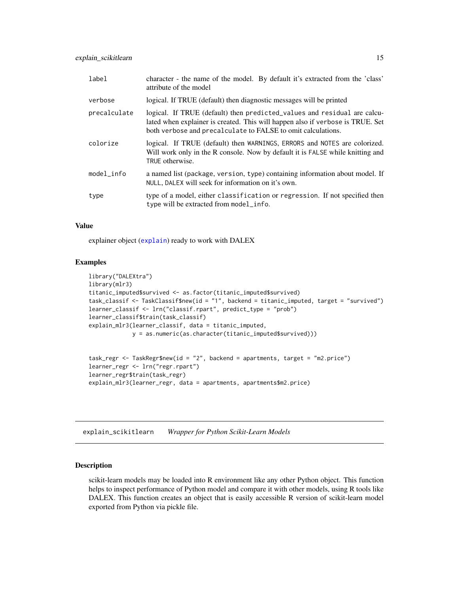<span id="page-14-0"></span>

| label        | character - the name of the model. By default it's extracted from the 'class'<br>attribute of the model                                                                                                                    |
|--------------|----------------------------------------------------------------------------------------------------------------------------------------------------------------------------------------------------------------------------|
| verbose      | logical. If TRUE (default) then diagnostic messages will be printed                                                                                                                                                        |
| precalculate | logical. If TRUE (default) then predicted_values and residual are calcu-<br>lated when explainer is created. This will happen also if verbose is TRUE. Set<br>both verbose and precalculate to FALSE to omit calculations. |
| colorize     | logical. If TRUE (default) then WARNINGS, ERRORS and NOTES are colorized.<br>Will work only in the R console. Now by default it is FALSE while knitting and<br>TRUE otherwise.                                             |
| model info   | a named list (package, version, type) containing information about model. If<br>NULL, DALEX will seek for information on it's own.                                                                                         |
| type         | type of a model, either classification or regression. If not specified then<br>type will be extracted from model_info.                                                                                                     |

# Value

explainer object ([explain](#page-0-0)) ready to work with DALEX

#### Examples

```
library("DALEXtra")
library(mlr3)
titanic_imputed$survived <- as.factor(titanic_imputed$survived)
task_classif <- TaskClassif$new(id = "1", backend = titanic_imputed, target = "survived")
learner_classif <- lrn("classif.rpart", predict_type = "prob")
learner_classif$train(task_classif)
explain_mlr3(learner_classif, data = titanic_imputed,
             y = as.numeric(as.character(titanic_imputed$survived)))
```

```
task_regr <- TaskRegr$new(id = "2", backend = apartments, target = "m2.price")
learner_regr <- lrn("regr.rpart")
learner_regr$train(task_regr)
explain_mlr3(learner_regr, data = apartments, apartments$m2.price)
```
<span id="page-14-1"></span>explain\_scikitlearn *Wrapper for Python Scikit-Learn Models*

### Description

scikit-learn models may be loaded into R environment like any other Python object. This function helps to inspect performance of Python model and compare it with other models, using R tools like DALEX. This function creates an object that is easily accessible R version of scikit-learn model exported from Python via pickle file.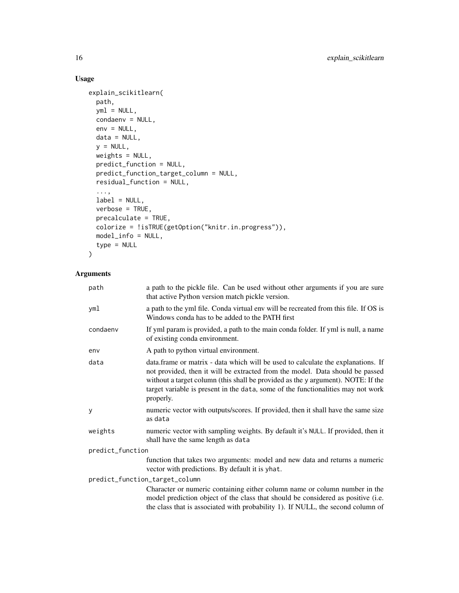# Usage

```
explain_scikitlearn(
 path,
 yml = NULL,condaenv = NULL,
 env = NULL,data = NULL,y = NULL,weights = NULL,
 predict_function = NULL,
 predict_function_target_column = NULL,
 residual_function = NULL,
  ...,
 label = NULL,
  verbose = TRUE,
 precalculate = TRUE,
 colorize = !isTRUE(getOption("knitr.in.progress")),
 model_info = NULL,
  type = NULL
\mathcal{L}
```

| path                           | a path to the pickle file. Can be used without other arguments if you are sure<br>that active Python version match pickle version.                                                                                                                                                                                                                     |  |
|--------------------------------|--------------------------------------------------------------------------------------------------------------------------------------------------------------------------------------------------------------------------------------------------------------------------------------------------------------------------------------------------------|--|
| yml                            | a path to the yml file. Conda virtual env will be recreated from this file. If OS is<br>Windows conda has to be added to the PATH first                                                                                                                                                                                                                |  |
| condaenv                       | If yml param is provided, a path to the main conda folder. If yml is null, a name<br>of existing conda environment.                                                                                                                                                                                                                                    |  |
| env                            | A path to python virtual environment.                                                                                                                                                                                                                                                                                                                  |  |
| data                           | data.frame or matrix - data which will be used to calculate the explanations. If<br>not provided, then it will be extracted from the model. Data should be passed<br>without a target column (this shall be provided as the y argument). NOTE: If the<br>target variable is present in the data, some of the functionalities may not work<br>properly. |  |
| У                              | numeric vector with outputs/scores. If provided, then it shall have the same size<br>as data                                                                                                                                                                                                                                                           |  |
| weights                        | numeric vector with sampling weights. By default it's NULL. If provided, then it<br>shall have the same length as data                                                                                                                                                                                                                                 |  |
| predict_function               |                                                                                                                                                                                                                                                                                                                                                        |  |
|                                | function that takes two arguments: model and new data and returns a numeric<br>vector with predictions. By default it is yhat.                                                                                                                                                                                                                         |  |
| predict_function_target_column |                                                                                                                                                                                                                                                                                                                                                        |  |
|                                | Character or numeric containing either column name or column number in the<br>model prediction object of the class that should be considered as positive (i.e.<br>the class that is associated with probability 1). If NULL, the second column of                                                                                                      |  |
|                                |                                                                                                                                                                                                                                                                                                                                                        |  |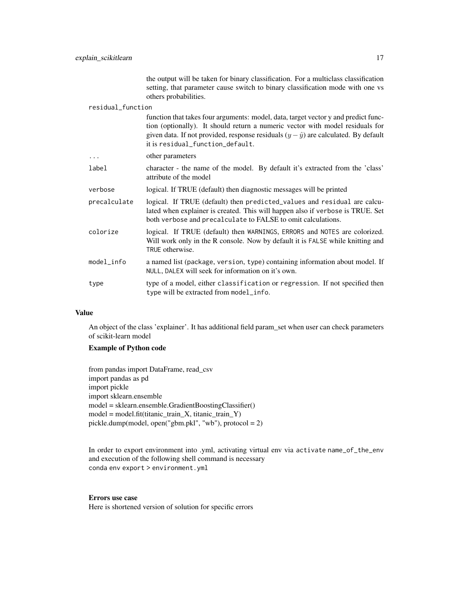the output will be taken for binary classification. For a multiclass classification setting, that parameter cause switch to binary classification mode with one vs others probabilities.

#### residual\_function

|              | function that takes four arguments: model, data, target vector y and predict func-<br>tion (optionally). It should return a numeric vector with model residuals for<br>given data. If not provided, response residuals $(y - \hat{y})$ are calculated. By default<br>it is residual_function_default. |
|--------------|-------------------------------------------------------------------------------------------------------------------------------------------------------------------------------------------------------------------------------------------------------------------------------------------------------|
| $\cdots$     | other parameters                                                                                                                                                                                                                                                                                      |
| label        | character - the name of the model. By default it's extracted from the 'class'<br>attribute of the model                                                                                                                                                                                               |
| verbose      | logical. If TRUE (default) then diagnostic messages will be printed                                                                                                                                                                                                                                   |
| precalculate | logical. If TRUE (default) then predicted_values and residual are calcu-<br>lated when explainer is created. This will happen also if verbose is TRUE. Set<br>both verbose and precalculate to FALSE to omit calculations.                                                                            |
| colorize     | logical. If TRUE (default) then WARNINGS, ERRORS and NOTES are colorized.<br>Will work only in the R console. Now by default it is FALSE while knitting and<br>TRUE otherwise.                                                                                                                        |
| $model_info$ | a named list (package, version, type) containing information about model. If<br>NULL, DALEX will seek for information on it's own.                                                                                                                                                                    |
| type         | type of a model, either classification or regression. If not specified then<br>type will be extracted from model_info.                                                                                                                                                                                |

#### Value

An object of the class 'explainer'. It has additional field param\_set when user can check parameters of scikit-learn model

#### Example of Python code

from pandas import DataFrame, read\_csv import pandas as pd import pickle import sklearn.ensemble model = sklearn.ensemble.GradientBoostingClassifier()  $model = model.fit(titanic_train_X, titanic_train_Y)$ pickle.dump(model, open("gbm.pkl", "wb"), protocol = 2)

In order to export environment into .yml, activating virtual env via activate name\_of\_the\_env and execution of the following shell command is necessary conda env export > environment.yml

#### Errors use case

Here is shortened version of solution for specific errors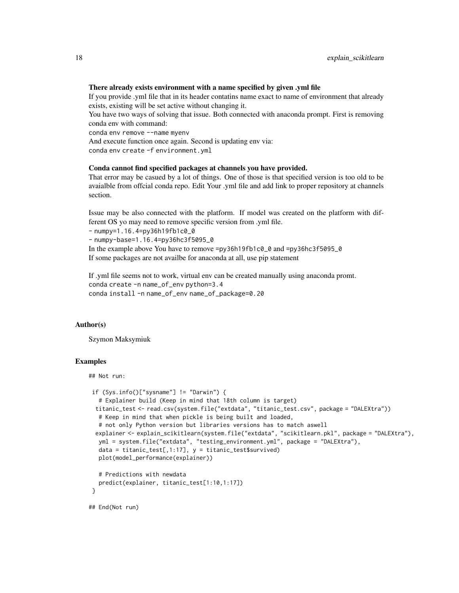#### There already exists environment with a name specified by given .yml file

If you provide .yml file that in its header contatins name exact to name of environment that already exists, existing will be set active without changing it.

You have two ways of solving that issue. Both connected with anaconda prompt. First is removing conda env with command:

conda env remove --name myenv

And execute function once again. Second is updating env via: conda env create -f environment.yml

#### Conda cannot find specified packages at channels you have provided.

That error may be casued by a lot of things. One of those is that specified version is too old to be avaialble from offcial conda repo. Edit Your .yml file and add link to proper repository at channels section.

Issue may be also connected with the platform. If model was created on the platform with different OS yo may need to remove specific version from .yml file.

- numpy=1.16.4=py36h19fb1c0\_0

- numpy-base=1.16.4=py36hc3f5095\_0

In the example above You have to remove =py36h19fb1c0\_0 and =py36hc3f5095\_0 If some packages are not availbe for anaconda at all, use pip statement

If .yml file seems not to work, virtual env can be created manually using anaconda promt. conda create -n name\_of\_env python=3.4 conda install -n name\_of\_env name\_of\_package=0.20

#### Author(s)

Szymon Maksymiuk

```
## Not run:
```

```
if (Sys.info()['systemame"] != "Darwin") {# Explainer build (Keep in mind that 18th column is target)
 titanic_test <- read.csv(system.file("extdata", "titanic_test.csv", package = "DALEXtra"))
  # Keep in mind that when pickle is being built and loaded,
  # not only Python version but libraries versions has to match aswell
 explainer <- explain_scikitlearn(system.file("extdata", "scikitlearn.pkl", package = "DALEXtra"),
  yml = system.file("extdata", "testing_environment.yml", package = "DALEXtra"),
  data = titanic_test[,1:17], y = titanic_test$survived)
  plot(model_performance(explainer))
  # Predictions with newdata
  predict(explainer, titanic_test[1:10,1:17])
}
## End(Not run)
```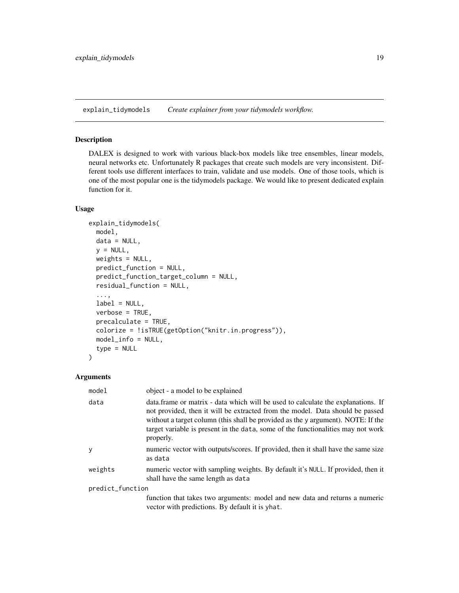<span id="page-18-1"></span><span id="page-18-0"></span>explain\_tidymodels *Create explainer from your tidymodels workflow.*

# Description

DALEX is designed to work with various black-box models like tree ensembles, linear models, neural networks etc. Unfortunately R packages that create such models are very inconsistent. Different tools use different interfaces to train, validate and use models. One of those tools, which is one of the most popular one is the tidymodels package. We would like to present dedicated explain function for it.

#### Usage

```
explain_tidymodels(
 model,
 data = NULL,y = NULL,weights = NULL,
 predict_function = NULL,
 predict_function_target_column = NULL,
  residual_function = NULL,
  ...,
  label = NULL,verbose = TRUE,
 precalculate = TRUE,
 colorize = !isTRUE(getOption("knitr.in.progress")),
 model_info = NULL,
  type = NULL
)
```

| model            | object - a model to be explained                                                                                                                                                                                                                                                                                                                        |  |
|------------------|---------------------------------------------------------------------------------------------------------------------------------------------------------------------------------------------------------------------------------------------------------------------------------------------------------------------------------------------------------|--|
| data             | data. frame or matrix - data which will be used to calculate the explanations. If<br>not provided, then it will be extracted from the model. Data should be passed<br>without a target column (this shall be provided as the y argument). NOTE: If the<br>target variable is present in the data, some of the functionalities may not work<br>properly. |  |
| y                | numeric vector with outputs/scores. If provided, then it shall have the same size<br>as data                                                                                                                                                                                                                                                            |  |
| weights          | numeric vector with sampling weights. By default it's NULL. If provided, then it<br>shall have the same length as data                                                                                                                                                                                                                                  |  |
| predict_function |                                                                                                                                                                                                                                                                                                                                                         |  |
|                  | function that takes two arguments: model and new data and returns a numeric<br>vector with predictions. By default it is yhat.                                                                                                                                                                                                                          |  |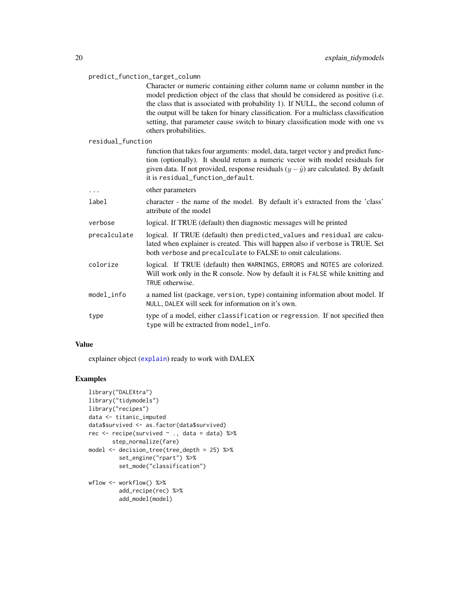<span id="page-19-0"></span>

| predict_function_target_column |                                                                                                                                                                                                                                                                                                                                                                                                                                                     |  |
|--------------------------------|-----------------------------------------------------------------------------------------------------------------------------------------------------------------------------------------------------------------------------------------------------------------------------------------------------------------------------------------------------------------------------------------------------------------------------------------------------|--|
|                                | Character or numeric containing either column name or column number in the<br>model prediction object of the class that should be considered as positive (i.e.<br>the class that is associated with probability 1). If NULL, the second column of<br>the output will be taken for binary classification. For a multiclass classification<br>setting, that parameter cause switch to binary classification mode with one vs<br>others probabilities. |  |
| residual_function              |                                                                                                                                                                                                                                                                                                                                                                                                                                                     |  |
|                                | function that takes four arguments: model, data, target vector y and predict func-<br>tion (optionally). It should return a numeric vector with model residuals for<br>given data. If not provided, response residuals $(y - \hat{y})$ are calculated. By default<br>it is residual_function_default.                                                                                                                                               |  |
| .                              | other parameters                                                                                                                                                                                                                                                                                                                                                                                                                                    |  |
| label                          | character - the name of the model. By default it's extracted from the 'class'<br>attribute of the model                                                                                                                                                                                                                                                                                                                                             |  |
| verbose                        | logical. If TRUE (default) then diagnostic messages will be printed                                                                                                                                                                                                                                                                                                                                                                                 |  |
| precalculate                   | logical. If TRUE (default) then predicted_values and residual are calcu-<br>lated when explainer is created. This will happen also if verbose is TRUE. Set<br>both verbose and precalculate to FALSE to omit calculations.                                                                                                                                                                                                                          |  |
| colorize                       | logical. If TRUE (default) then WARNINGS, ERRORS and NOTES are colorized.<br>Will work only in the R console. Now by default it is FALSE while knitting and<br>TRUE otherwise.                                                                                                                                                                                                                                                                      |  |
| $model_info$                   | a named list (package, version, type) containing information about model. If<br>NULL, DALEX will seek for information on it's own.                                                                                                                                                                                                                                                                                                                  |  |
| type                           | type of a model, either classification or regression. If not specified then<br>type will be extracted from model_info.                                                                                                                                                                                                                                                                                                                              |  |

### Value

explainer object ([explain](#page-0-0)) ready to work with DALEX

```
library("DALEXtra")
library("tidymodels")
library("recipes")
data <- titanic_imputed
data$survived <- as.factor(data$survived)
rec <- recipe(survived ~ ., data = data) %>%
       step_normalize(fare)
model <- decision_tree(tree_depth = 25) %>%
         set_engine("rpart") %>%
         set_mode("classification")
wflow <- workflow() %>%
         add_recipe(rec) %>%
         add_model(model)
```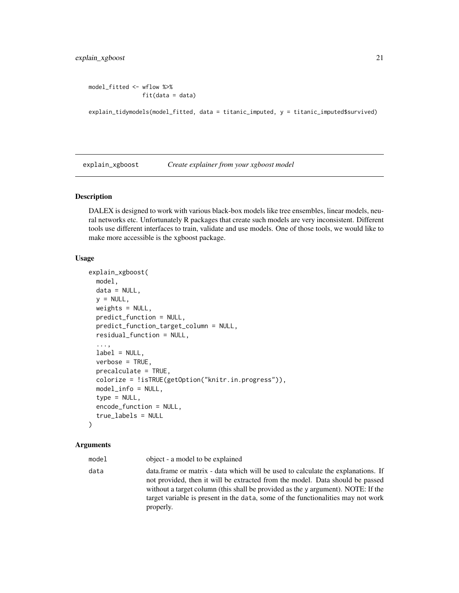```
model_fitted <- wflow %>%
                fit(data = data)
```

```
explain_tidymodels(model_fitted, data = titanic_imputed, y = titanic_imputed$survived)
```
<span id="page-20-1"></span>explain\_xgboost *Create explainer from your xgboost model*

#### Description

DALEX is designed to work with various black-box models like tree ensembles, linear models, neural networks etc. Unfortunately R packages that create such models are very inconsistent. Different tools use different interfaces to train, validate and use models. One of those tools, we would like to make more accessible is the xgboost package.

#### Usage

```
explain_xgboost(
 model,
  data = NULL,
  y = NULL,weights = NULL,predict_function = NULL,
  predict_function_target_column = NULL,
  residual_function = NULL,
  ...,
  label = NULL,verbose = TRUE,
  precalculate = TRUE,
  colorize = !isTRUE(getOption("knitr.in.progress")),
 model_info = NULL,
  type = NULL,
  encode_function = NULL,
  true_labels = NULL
)
```
#### Arguments

model object - a model to be explained data data.frame or matrix - data which will be used to calculate the explanations. If not provided, then it will be extracted from the model. Data should be passed without a target column (this shall be provided as the y argument). NOTE: If the target variable is present in the data, some of the functionalities may not work properly.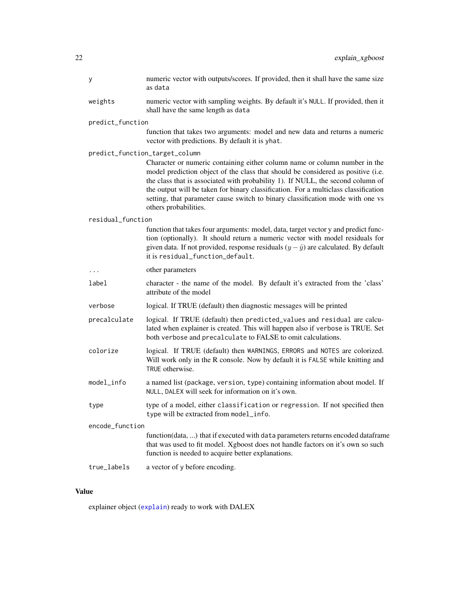<span id="page-21-0"></span>

| у                 | numeric vector with outputs/scores. If provided, then it shall have the same size<br>as data                                                                                                                                                                                                                                                                                                                                                        |
|-------------------|-----------------------------------------------------------------------------------------------------------------------------------------------------------------------------------------------------------------------------------------------------------------------------------------------------------------------------------------------------------------------------------------------------------------------------------------------------|
| weights           | numeric vector with sampling weights. By default it's NULL. If provided, then it<br>shall have the same length as data                                                                                                                                                                                                                                                                                                                              |
| predict_function  |                                                                                                                                                                                                                                                                                                                                                                                                                                                     |
|                   | function that takes two arguments: model and new data and returns a numeric<br>vector with predictions. By default it is yhat.                                                                                                                                                                                                                                                                                                                      |
|                   | predict_function_target_column                                                                                                                                                                                                                                                                                                                                                                                                                      |
|                   | Character or numeric containing either column name or column number in the<br>model prediction object of the class that should be considered as positive (i.e.<br>the class that is associated with probability 1). If NULL, the second column of<br>the output will be taken for binary classification. For a multiclass classification<br>setting, that parameter cause switch to binary classification mode with one vs<br>others probabilities. |
| residual_function |                                                                                                                                                                                                                                                                                                                                                                                                                                                     |
|                   | function that takes four arguments: model, data, target vector y and predict func-<br>tion (optionally). It should return a numeric vector with model residuals for<br>given data. If not provided, response residuals $(y - \hat{y})$ are calculated. By default<br>it is residual_function_default.                                                                                                                                               |
| .                 | other parameters                                                                                                                                                                                                                                                                                                                                                                                                                                    |
| label             | character - the name of the model. By default it's extracted from the 'class'<br>attribute of the model                                                                                                                                                                                                                                                                                                                                             |
| verbose           | logical. If TRUE (default) then diagnostic messages will be printed                                                                                                                                                                                                                                                                                                                                                                                 |
| precalculate      | logical. If TRUE (default) then predicted_values and residual are calcu-<br>lated when explainer is created. This will happen also if verbose is TRUE. Set<br>both verbose and precalculate to FALSE to omit calculations.                                                                                                                                                                                                                          |
| colorize          | logical. If TRUE (default) then WARNINGS, ERRORS and NOTES are colorized.<br>Will work only in the R console. Now by default it is FALSE while knitting and<br>TRUE otherwise.                                                                                                                                                                                                                                                                      |
| model_info        | a named list (package, version, type) containing information about model. If<br>NULL, DALEX will seek for information on it's own.                                                                                                                                                                                                                                                                                                                  |
| type              | type of a model, either classification or regression. If not specified then<br>type will be extracted from model_info.                                                                                                                                                                                                                                                                                                                              |
| encode_function   |                                                                                                                                                                                                                                                                                                                                                                                                                                                     |
|                   | function(data, ) that if executed with data parameters returns encoded dataframe<br>that was used to fit model. Xgboost does not handle factors on it's own so such<br>function is needed to acquire better explanations.                                                                                                                                                                                                                           |
| true_labels       | a vector of y before encoding.                                                                                                                                                                                                                                                                                                                                                                                                                      |

# Value

explainer object ([explain](#page-0-0)) ready to work with DALEX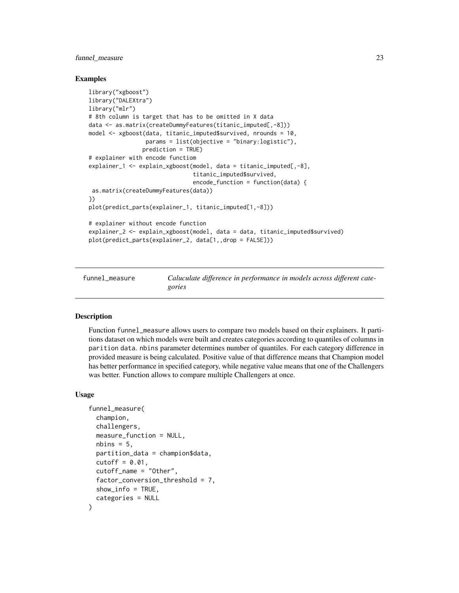# <span id="page-22-0"></span>funnel\_measure 23

#### Examples

```
library("xgboost")
library("DALEXtra")
library("mlr")
# 8th column is target that has to be omitted in X data
data <- as.matrix(createDummyFeatures(titanic_imputed[,-8]))
model <- xgboost(data, titanic_imputed$survived, nrounds = 10,
                 params = list(objective = "binary:logistic"),
                prediction = TRUE)
# explainer with encode functiom
explainer_1 <- explain_xgboost(model, data = titanic_imputed[,-8],
                               titanic_imputed$survived,
                               encode_function = function(data) {
as.matrix(createDummyFeatures(data))
})
plot(predict_parts(explainer_1, titanic_imputed[1,-8]))
# explainer without encode function
explainer_2 <- explain_xgboost(model, data = data, titanic_imputed$survived)
plot(predict_parts(explainer_2, data[1,,drop = FALSE]))
```
<span id="page-22-1"></span>funnel\_measure *Caluculate difference in performance in models across different categories*

#### Description

Function funnel\_measure allows users to compare two models based on their explainers. It partitions dataset on which models were built and creates categories according to quantiles of columns in parition data. nbins parameter determines number of quantiles. For each category difference in provided measure is being calculated. Positive value of that difference means that Champion model has better performance in specified category, while negative value means that one of the Challengers was better. Function allows to compare multiple Challengers at once.

#### Usage

```
funnel_measure(
  champion,
  challengers,
 measure_function = NULL,
  nbins = 5,
 partition_data = champion$data,
  cutoff = 0.01,
  cutoff_name = "Other",
  factor_conversion_threshold = 7,
  show_info = TRUE,
  categories = NULL
)
```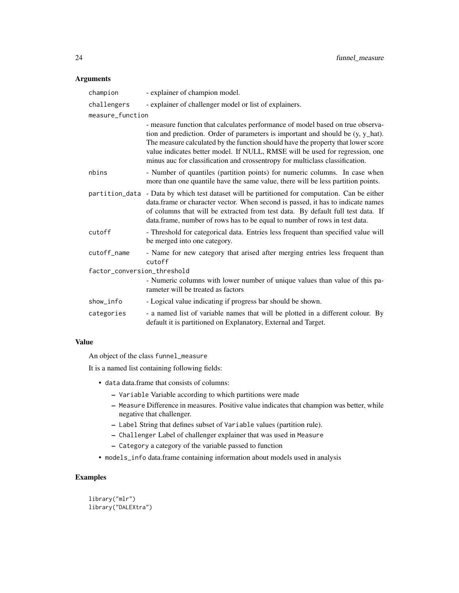### Arguments

| champion                    | - explainer of champion model.                                                                                                                                                                                                                                                                                                                                                                                             |  |
|-----------------------------|----------------------------------------------------------------------------------------------------------------------------------------------------------------------------------------------------------------------------------------------------------------------------------------------------------------------------------------------------------------------------------------------------------------------------|--|
| challengers                 | - explainer of challenger model or list of explainers.                                                                                                                                                                                                                                                                                                                                                                     |  |
| measure_function            |                                                                                                                                                                                                                                                                                                                                                                                                                            |  |
|                             | - measure function that calculates performance of model based on true observa-<br>tion and prediction. Order of parameters is important and should be $(y, y_h)$ hat).<br>The measure calculated by the function should have the property that lower score<br>value indicates better model. If NULL, RMSE will be used for regression, one<br>minus auc for classification and crossentropy for multiclass classification. |  |
| nbins                       | - Number of quantiles (partition points) for numeric columns. In case when<br>more than one quantile have the same value, there will be less partition points.                                                                                                                                                                                                                                                             |  |
| partition_data              | - Data by which test dataset will be partitioned for computation. Can be either<br>data.frame or character vector. When second is passed, it has to indicate names<br>of columns that will be extracted from test data. By default full test data. If<br>data. frame, number of rows has to be equal to number of rows in test data.                                                                                       |  |
| cutoff                      | - Threshold for categorical data. Entries less frequent than specified value will<br>be merged into one category.                                                                                                                                                                                                                                                                                                          |  |
| cutoff_name                 | - Name for new category that arised after merging entries less frequent than<br>cutoff                                                                                                                                                                                                                                                                                                                                     |  |
| factor_conversion_threshold |                                                                                                                                                                                                                                                                                                                                                                                                                            |  |
|                             | - Numeric columns with lower number of unique values than value of this pa-<br>rameter will be treated as factors                                                                                                                                                                                                                                                                                                          |  |
| show info                   | - Logical value indicating if progress bar should be shown.                                                                                                                                                                                                                                                                                                                                                                |  |
| categories                  | - a named list of variable names that will be plotted in a different colour. By<br>default it is partitioned on Explanatory, External and Target.                                                                                                                                                                                                                                                                          |  |

#### Value

An object of the class funnel\_measure

It is a named list containing following fields:

- data data.frame that consists of columns:
	- Variable Variable according to which partitions were made
	- Measure Difference in measures. Positive value indicates that champion was better, while negative that challenger.
	- Label String that defines subset of Variable values (partition rule).
	- Challenger Label of challenger explainer that was used in Measure
	- Category a category of the variable passed to function
- models\_info data.frame containing information about models used in analysis

# Examples

library("mlr") library("DALEXtra")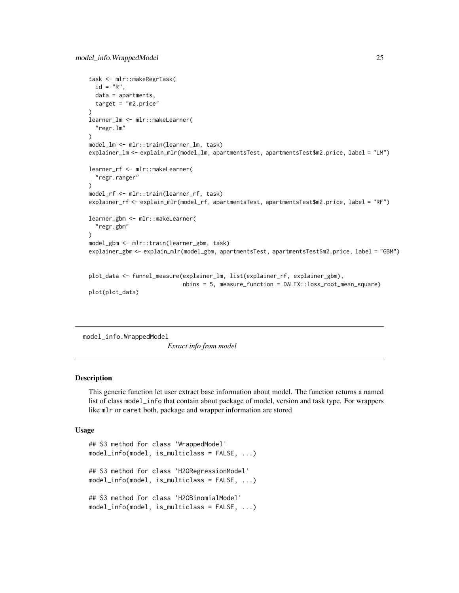```
task <- mlr::makeRegrTask(
  id = "R",data = apartments,
  target = "m2.price"
)
learner_lm <- mlr::makeLearner(
  "regr.lm"
)
model_lm <- mlr::train(learner_lm, task)
explainer_lm <- explain_mlr(model_lm, apartmentsTest, apartmentsTest$m2.price, label = "LM")
learner_rf <- mlr::makeLearner(
  "regr.ranger"
)
model_rf <- mlr::train(learner_rf, task)
explainer_rf <- explain_mlr(model_rf, apartmentsTest, apartmentsTest$m2.price, label = "RF")
learner_gbm <- mlr::makeLearner(
  "regr.gbm"
\mathcal{L}model_gbm <- mlr::train(learner_gbm, task)
explainer_gbm <- explain_mlr(model_gbm, apartmentsTest, apartmentsTest$m2.price, label = "GBM")
plot_data <- funnel_measure(explainer_lm, list(explainer_rf, explainer_gbm),
                             nbins = 5, measure_function = DALEX::loss_root_mean_square)
```

```
plot(plot_data)
```
model\_info.WrappedModel

*Exract info from model*

#### Description

This generic function let user extract base information about model. The function returns a named list of class model\_info that contain about package of model, version and task type. For wrappers like mlr or caret both, package and wrapper information are stored

#### Usage

```
## S3 method for class 'WrappedModel'
model_info(model, is_multiclass = FALSE, ...)
## S3 method for class 'H2ORegressionModel'
model_info(model, is_multiclass = FALSE, ...)
## S3 method for class 'H2OBinomialModel'
model_info(model, is_multiclass = FALSE, ...)
```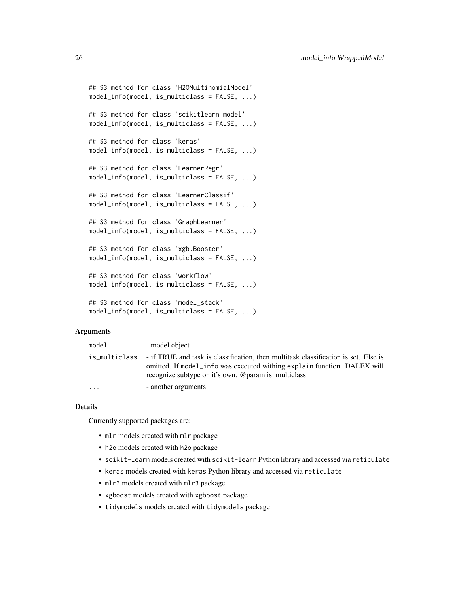```
## S3 method for class 'H2OMultinomialModel'
model_info(model, is_multiclass = FALSE, ...)
## S3 method for class 'scikitlearn_model'
model_info(model, is_multiclass = FALSE, ...)
## S3 method for class 'keras'
model_info(model, is_multiclass = FALSE, ...)
## S3 method for class 'LearnerRegr'
model_info(model, is_multiclass = FALSE, ...)
## S3 method for class 'LearnerClassif'
model_info(model, is_multiclass = FALSE, ...)
## S3 method for class 'GraphLearner'
model_info(model, is_multiclass = FALSE, ...)
## S3 method for class 'xgb.Booster'
model_info(model, is_multiclass = FALSE, ...)
## S3 method for class 'workflow'
model_info(model, is_multiclass = FALSE, ...)
## S3 method for class 'model_stack'
model_info(model, is_multiclass = FALSE, ...)
```
#### Arguments

| model     | - model object                                                                                                                                                                                                                       |
|-----------|--------------------------------------------------------------------------------------------------------------------------------------------------------------------------------------------------------------------------------------|
|           | is_multiclass - if TRUE and task is classification, then multitask classification is set. Else is<br>omitted. If model info was executed withing explain function. DALEX will<br>recognize subtype on it's own. @param is multiclass |
| $\ddotsc$ | - another arguments                                                                                                                                                                                                                  |

#### Details

Currently supported packages are:

- mlr models created with mlr package
- h2o models created with h2o package
- scikit-learn models created with scikit-learn Python library and accessed via reticulate
- keras models created with keras Python library and accessed via reticulate
- mlr3 models created with mlr3 package
- xgboost models created with xgboost package
- tidymodels models created with tidymodels package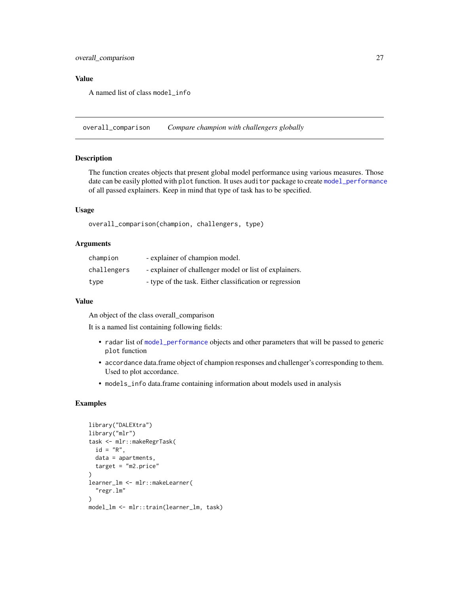#### <span id="page-26-0"></span>Value

A named list of class model\_info

<span id="page-26-1"></span>overall\_comparison *Compare champion with challengers globally*

#### Description

The function creates objects that present global model performance using various measures. Those date can be easily plotted with plot function. It uses auditor package to create [model\\_performance](#page-0-0) of all passed explainers. Keep in mind that type of task has to be specified.

### Usage

overall\_comparison(champion, challengers, type)

#### Arguments

| champion    | - explainer of champion model.                          |
|-------------|---------------------------------------------------------|
| challengers | - explainer of challenger model or list of explainers.  |
| type        | - type of the task. Either classification or regression |

#### Value

An object of the class overall\_comparison

It is a named list containing following fields:

- radar list of [model\\_performance](#page-0-0) objects and other parameters that will be passed to generic plot function
- accordance data.frame object of champion responses and challenger's corresponding to them. Used to plot accordance.
- models\_info data.frame containing information about models used in analysis

```
library("DALEXtra")
library("mlr")
task <- mlr::makeRegrTask(
  id = "R",data = apartments,
  target = "m2.price"
)
learner_lm <- mlr::makeLearner(
  "regr.lm"
\lambdamodel_lm <- mlr::train(learner_lm, task)
```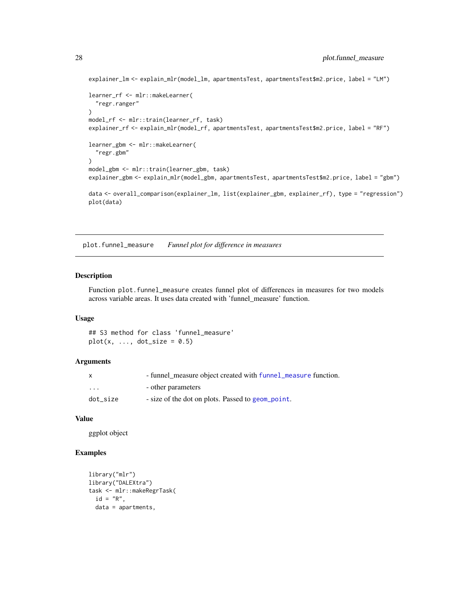```
explainer_lm <- explain_mlr(model_lm, apartmentsTest, apartmentsTest$m2.price, label = "LM")
learner_rf <- mlr::makeLearner(
  "regr.ranger"
\mathcal{L}model_rf <- mlr::train(learner_rf, task)
explainer_rf <- explain_mlr(model_rf, apartmentsTest, apartmentsTest$m2.price, label = "RF")
learner_gbm <- mlr::makeLearner(
  "regr.gbm"
\mathcal{L}model_gbm <- mlr::train(learner_gbm, task)
explainer_gbm <- explain_mlr(model_gbm, apartmentsTest, apartmentsTest$m2.price, label = "gbm")
data <- overall_comparison(explainer_lm, list(explainer_gbm, explainer_rf), type = "regression")
plot(data)
```
<span id="page-27-1"></span>plot.funnel\_measure *Funnel plot for difference in measures*

#### Description

Function plot.funnel\_measure creates funnel plot of differences in measures for two models across variable areas. It uses data created with 'funnel\_measure' function.

#### Usage

## S3 method for class 'funnel\_measure'  $plot(x, ..., dot_size = 0.5)$ 

#### Arguments

|          | - funnel measure object created with funnel measure function. |
|----------|---------------------------------------------------------------|
| $\cdot$  | - other parameters                                            |
| dot size | - size of the dot on plots. Passed to geom_point.             |

### Value

ggplot object

```
library("mlr")
library("DALEXtra")
task <- mlr::makeRegrTask(
 id = "R",data = apartments,
```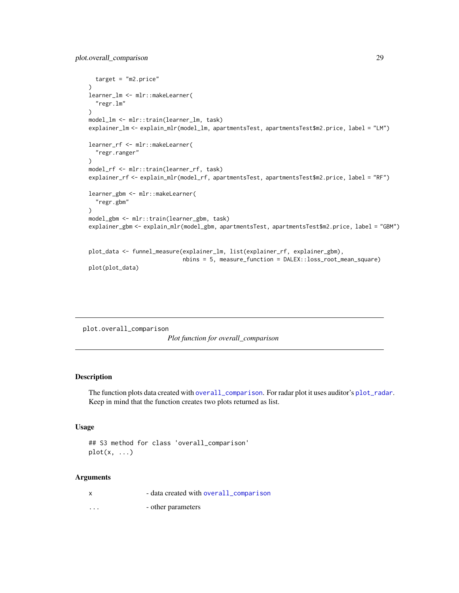```
target = "m2.price"
\lambdalearner_lm <- mlr::makeLearner(
  "regr.lm"
)
model_lm <- mlr::train(learner_lm, task)
explainer_lm <- explain_mlr(model_lm, apartmentsTest, apartmentsTest$m2.price, label = "LM")
learner_rf <- mlr::makeLearner(
  "regr.ranger"
)
model_rf <- mlr::train(learner_rf, task)
explainer_rf <- explain_mlr(model_rf, apartmentsTest, apartmentsTest$m2.price, label = "RF")
learner_gbm <- mlr::makeLearner(
  "regr.gbm"
)
model_gbm <- mlr::train(learner_gbm, task)
explainer_gbm <- explain_mlr(model_gbm, apartmentsTest, apartmentsTest$m2.price, label = "GBM")
plot_data <- funnel_measure(explainer_lm, list(explainer_rf, explainer_gbm),
                            nbins = 5, measure_function = DALEX::loss_root_mean_square)
plot(plot_data)
```
plot.overall\_comparison

*Plot function for overall\_comparison*

#### Description

The function plots data created with [overall\\_comparison](#page-26-1). For radar plot it uses auditor's [plot\\_radar](#page-0-0). Keep in mind that the function creates two plots returned as list.

#### Usage

## S3 method for class 'overall\_comparison'  $plot(x, \ldots)$ 

| $\boldsymbol{\mathsf{x}}$ | - data created with overall_comparison |
|---------------------------|----------------------------------------|
| $\cdots$                  | - other parameters                     |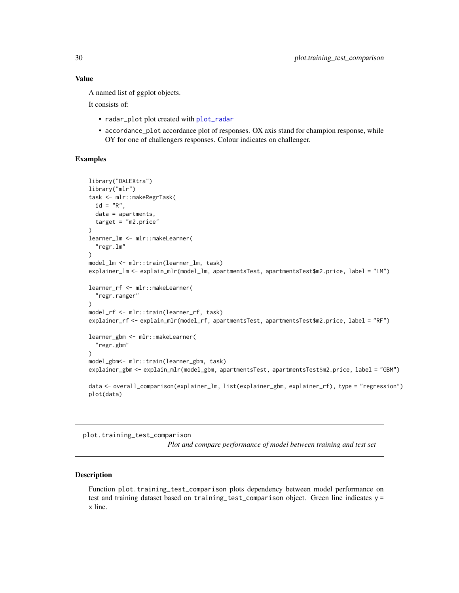A named list of ggplot objects.

It consists of:

- radar\_plot plot created with [plot\\_radar](#page-0-0)
- accordance\_plot accordance plot of responses. OX axis stand for champion response, while OY for one of challengers responses. Colour indicates on challenger.

#### Examples

```
library("DALEXtra")
library("mlr")
task <- mlr::makeRegrTask(
  id = "R",data = apartments,
  target = "m2.price"
)
learner_lm <- mlr::makeLearner(
  "regr.lm"
\mathcal{L}model_lm <- mlr::train(learner_lm, task)
explainer_lm <- explain_mlr(model_lm, apartmentsTest, apartmentsTest$m2.price, label = "LM")
learner_rf <- mlr::makeLearner(
  "regr.ranger"
\lambdamodel_rf <- mlr::train(learner_rf, task)
explainer_rf <- explain_mlr(model_rf, apartmentsTest, apartmentsTest$m2.price, label = "RF")
learner_gbm <- mlr::makeLearner(
  "regr.gbm"
\lambdamodel_gbm<- mlr::train(learner_gbm, task)
explainer_gbm <- explain_mlr(model_gbm, apartmentsTest, apartmentsTest$m2.price, label = "GBM")
data <- overall_comparison(explainer_lm, list(explainer_gbm, explainer_rf), type = "regression")
plot(data)
```
plot.training\_test\_comparison

*Plot and compare performance of model between training and test set*

#### Description

Function plot.training\_test\_comparison plots dependency between model performance on test and training dataset based on training\_test\_comparison object. Green line indicates y = x line.

<span id="page-29-0"></span>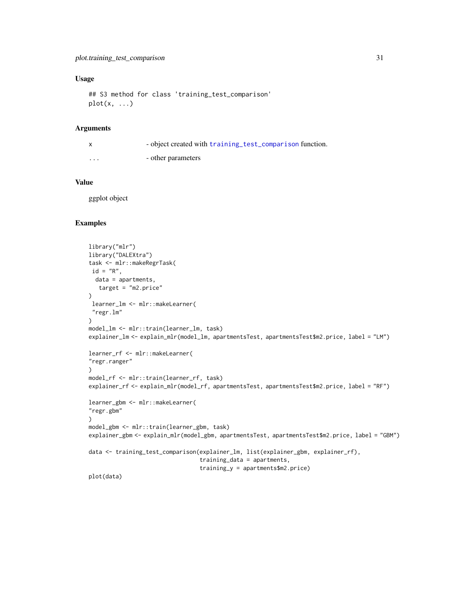### <span id="page-30-0"></span>Usage

```
## S3 method for class 'training_test_comparison'
plot(x, \ldots)
```
#### Arguments

|                         | - object created with training test comparison function. |
|-------------------------|----------------------------------------------------------|
| $\cdot$ $\cdot$ $\cdot$ | - other parameters                                       |

# Value

ggplot object

```
library("mlr")
library("DALEXtra")
task <- mlr::makeRegrTask(
id = "R",data = apartments,
  target = "m2.price"
)
 learner_lm <- mlr::makeLearner(
 "regr.lm"
)
model_lm <- mlr::train(learner_lm, task)
explainer_lm <- explain_mlr(model_lm, apartmentsTest, apartmentsTest$m2.price, label = "LM")
learner_rf <- mlr::makeLearner(
"regr.ranger"
\mathcal{L}model_rf <- mlr::train(learner_rf, task)
explainer_rf <- explain_mlr(model_rf, apartmentsTest, apartmentsTest$m2.price, label = "RF")
learner_gbm <- mlr::makeLearner(
"regr.gbm"
\lambdamodel_gbm <- mlr::train(learner_gbm, task)
explainer_gbm <- explain_mlr(model_gbm, apartmentsTest, apartmentsTest$m2.price, label = "GBM")
data <- training_test_comparison(explainer_lm, list(explainer_gbm, explainer_rf),
                                  training_data = apartments,
                                  training_y = apartments$m2.price)
plot(data)
```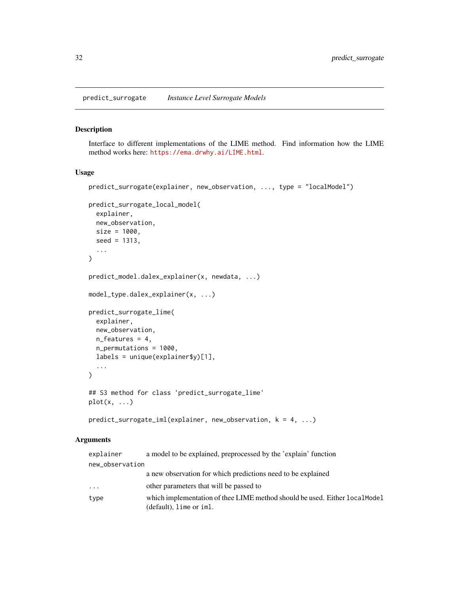<span id="page-31-0"></span>predict\_surrogate *Instance Level Surrogate Models*

#### Description

Interface to different implementations of the LIME method. Find information how the LIME method works here: <https://ema.drwhy.ai/LIME.html>.

#### Usage

```
predict_surrogate(explainer, new_observation, ..., type = "localModel")
predict_surrogate_local_model(
  explainer,
 new_observation,
 size = 1000,seed = 1313,
  ...
\mathcal{L}predict_model.dalex_explainer(x, newdata, ...)
model_type.dalex_explainer(x, ...)
predict_surrogate_lime(
  explainer,
 new_observation,
 n_features = 4,
  n_permutations = 1000,
  labels = unique(explainer$y)[1],
  ...
)
## S3 method for class 'predict_surrogate_lime'
plot(x, \ldots)predict_surrogate_iml(explainer, new_observation, k = 4, ...)
```

| explainer       | a model to be explained, preprocessed by the 'explain' function                                        |
|-----------------|--------------------------------------------------------------------------------------------------------|
| new_observation |                                                                                                        |
|                 | a new observation for which predictions need to be explained                                           |
| $\cdots$        | other parameters that will be passed to                                                                |
| type            | which implementation of thee LIME method should be used. Either local Model<br>(default), lime or iml. |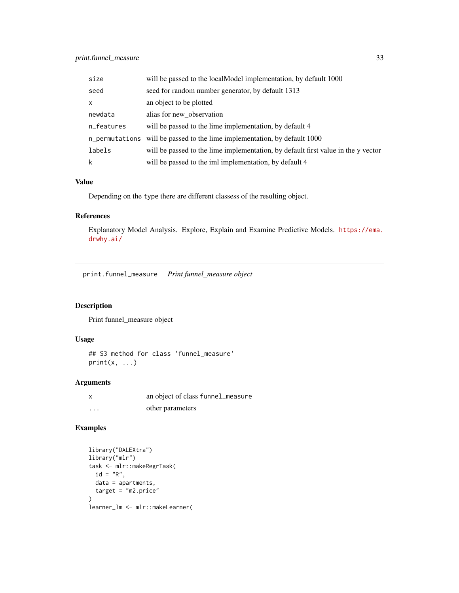# <span id="page-32-0"></span>print.funnel\_measure 33

| size         | will be passed to the localModel implementation, by default 1000                  |
|--------------|-----------------------------------------------------------------------------------|
| seed         | seed for random number generator, by default 1313                                 |
| $\mathsf{x}$ | an object to be plotted                                                           |
| newdata      | alias for new observation                                                         |
| n_features   | will be passed to the lime implementation, by default 4                           |
|              | n_permutations will be passed to the lime implementation, by default 1000         |
| labels       | will be passed to the lime implementation, by default first value in the y vector |
| k            | will be passed to the iml implementation, by default 4                            |

# Value

Depending on the type there are different classess of the resulting object.

# References

Explanatory Model Analysis. Explore, Explain and Examine Predictive Models. [https://ema.](https://ema.drwhy.ai/) [drwhy.ai/](https://ema.drwhy.ai/)

print.funnel\_measure *Print funnel\_measure object*

# Description

Print funnel\_measure object

# Usage

## S3 method for class 'funnel\_measure'  $print(x, \ldots)$ 

# Arguments

|          | an object of class funnel_measure |
|----------|-----------------------------------|
| $\cdots$ | other parameters                  |

```
library("DALEXtra")
library("mlr")
task <- mlr::makeRegrTask(
  id = "R",
 data = apartments,
  target = "m2.price"
\overline{)}learner_lm <- mlr::makeLearner(
```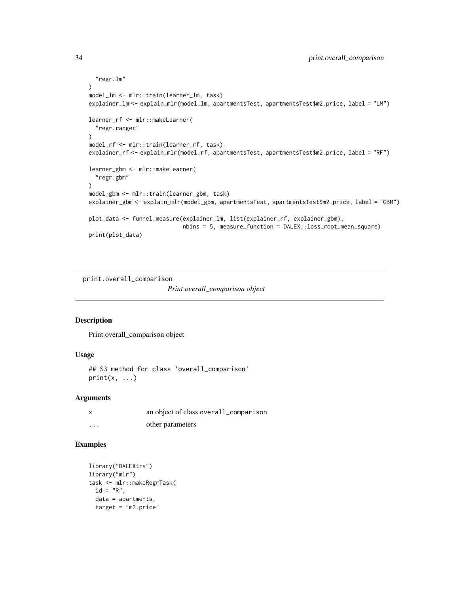```
"regr.lm"
\mathcal{L}model_lm <- mlr::train(learner_lm, task)
explainer_lm <- explain_mlr(model_lm, apartmentsTest, apartmentsTest$m2.price, label = "LM")
learner_rf <- mlr::makeLearner(
  "regr.ranger"
)
model_rf <- mlr::train(learner_rf, task)
explainer_rf <- explain_mlr(model_rf, apartmentsTest, apartmentsTest$m2.price, label = "RF")
learner_gbm <- mlr::makeLearner(
  "regr.gbm"
)
model_gbm <- mlr::train(learner_gbm, task)
explainer_gbm <- explain_mlr(model_gbm, apartmentsTest, apartmentsTest$m2.price, label = "GBM")
plot_data <- funnel_measure(explainer_lm, list(explainer_rf, explainer_gbm),
                             nbins = 5, measure_function = DALEX::loss_root_mean_square)
print(plot_data)
```
print.overall\_comparison

```
Print overall_comparison object
```
# Description

Print overall\_comparison object

# Usage

```
## S3 method for class 'overall_comparison'
print(x, \ldots)
```
#### Arguments

|   | an object of class overall_comparison |
|---|---------------------------------------|
| . | other parameters                      |

```
library("DALEXtra")
library("mlr")
task <- mlr::makeRegrTask(
 id = "R",data = apartments,
  target = "m2.price"
```
<span id="page-33-0"></span>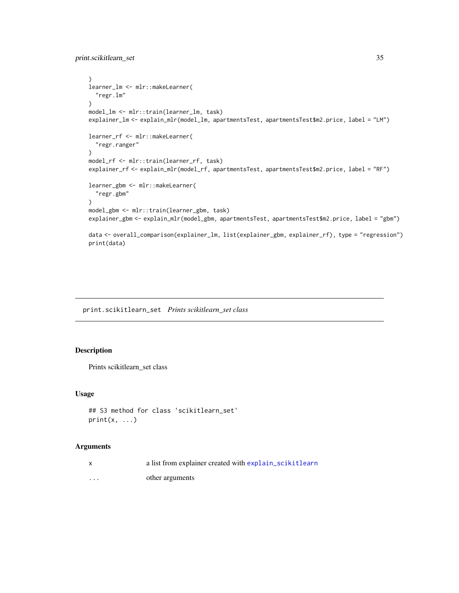<span id="page-34-0"></span>print.scikitlearn\_set 35

```
)
learner_lm <- mlr::makeLearner(
  "regr.lm"
\mathcal{L}model_lm <- mlr::train(learner_lm, task)
explainer_lm <- explain_mlr(model_lm, apartmentsTest, apartmentsTest$m2.price, label = "LM")
learner_rf <- mlr::makeLearner(
  "regr.ranger"
)
model_rf <- mlr::train(learner_rf, task)
explainer_rf <- explain_mlr(model_rf, apartmentsTest, apartmentsTest$m2.price, label = "RF")
learner_gbm <- mlr::makeLearner(
  "regr.gbm"
)
model_gbm <- mlr::train(learner_gbm, task)
explainer_gbm <- explain_mlr(model_gbm, apartmentsTest, apartmentsTest$m2.price, label = "gbm")
data <- overall_comparison(explainer_lm, list(explainer_gbm, explainer_rf), type = "regression")
print(data)
```
print.scikitlearn\_set *Prints scikitlearn\_set class*

# Description

Prints scikitlearn\_set class

#### Usage

```
## S3 method for class 'scikitlearn_set'
print(x, \ldots)
```

| X        | a list from explainer created with explain_scikitlearn |
|----------|--------------------------------------------------------|
| $\cdots$ | other arguments                                        |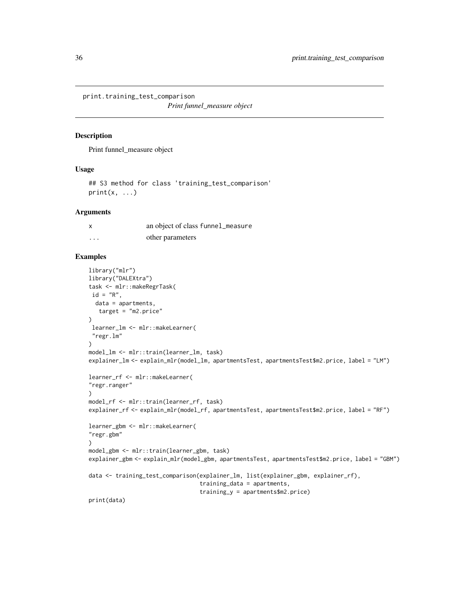<span id="page-35-0"></span>print.training\_test\_comparison

*Print funnel\_measure object*

# Description

Print funnel\_measure object

#### Usage

## S3 method for class 'training\_test\_comparison'  $print(x, \ldots)$ 

#### Arguments

| X        | an object of class funnel_measure |
|----------|-----------------------------------|
| $\cdots$ | other parameters                  |

```
library("mlr")
library("DALEXtra")
task <- mlr::makeRegrTask(
id = "R",data = apartments,
  target = "m2.price"
)
learner_lm <- mlr::makeLearner(
 "regr.lm"
)
model_lm <- mlr::train(learner_lm, task)
explainer_lm <- explain_mlr(model_lm, apartmentsTest, apartmentsTest$m2.price, label = "LM")
learner_rf <- mlr::makeLearner(
"regr.ranger"
\lambdamodel_rf <- mlr::train(learner_rf, task)
explainer_rf <- explain_mlr(model_rf, apartmentsTest, apartmentsTest$m2.price, label = "RF")
learner_gbm <- mlr::makeLearner(
"regr.gbm"
)
model_gbm <- mlr::train(learner_gbm, task)
explainer_gbm <- explain_mlr(model_gbm, apartmentsTest, apartmentsTest$m2.price, label = "GBM")
data <- training_test_comparison(explainer_lm, list(explainer_gbm, explainer_rf),
                                 training_data = apartments,
                                 training_y = apartments$m2.price)
print(data)
```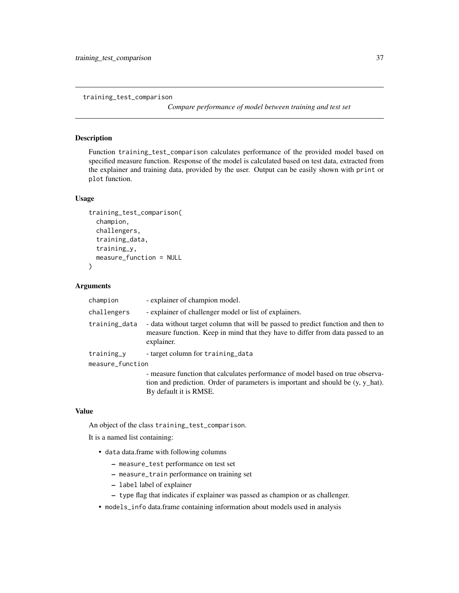<span id="page-36-1"></span><span id="page-36-0"></span>training\_test\_comparison

*Compare performance of model between training and test set*

#### **Description**

Function training\_test\_comparison calculates performance of the provided model based on specified measure function. Response of the model is calculated based on test data, extracted from the explainer and training data, provided by the user. Output can be easily shown with print or plot function.

#### Usage

```
training_test_comparison(
  champion,
  challengers,
  training_data,
  training_y,
 measure_function = NULL
)
```
#### Arguments

| champion         | - explainer of champion model.                                                                                                                                                   |
|------------------|----------------------------------------------------------------------------------------------------------------------------------------------------------------------------------|
| challengers      | - explainer of challenger model or list of explainers.                                                                                                                           |
| training_data    | - data without target column that will be passed to predict function and then to<br>measure function. Keep in mind that they have to differ from data passed to an<br>explainer. |
| training_y       | - target column for training data                                                                                                                                                |
| measure_function |                                                                                                                                                                                  |
|                  | - measure function that calculates performance of model based on true observa-<br>tion and prediction. Order of parameters is important and should be (v, v hat).                |

tion and prediction. Order of parameters is important and should be (y, y\_hat). By default it is RMSE.

#### Value

An object of the class training\_test\_comparison.

It is a named list containing:

- data data.frame with following columns
	- measure\_test performance on test set
	- measure\_train performance on training set
	- label label of explainer
	- type flag that indicates if explainer was passed as champion or as challenger.
- models\_info data.frame containing information about models used in analysis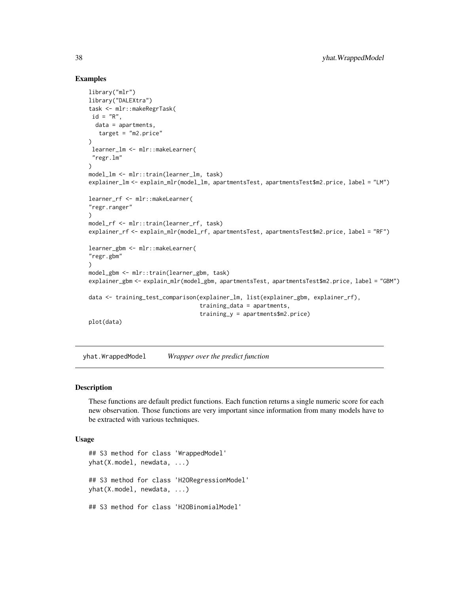#### Examples

```
library("mlr")
library("DALEXtra")
task <- mlr::makeRegrTask(
id = "R",data = apartments,
  target = "m2.price"
)
 learner_lm <- mlr::makeLearner(
 "regr.lm"
)
model_lm <- mlr::train(learner_lm, task)
explainer_lm <- explain_mlr(model_lm, apartmentsTest, apartmentsTest$m2.price, label = "LM")
learner_rf <- mlr::makeLearner(
"regr.ranger"
\lambdamodel_rf <- mlr::train(learner_rf, task)
explainer_rf <- explain_mlr(model_rf, apartmentsTest, apartmentsTest$m2.price, label = "RF")
learner_gbm <- mlr::makeLearner(
"regr.gbm"
)
model_gbm <- mlr::train(learner_gbm, task)
explainer_gbm <- explain_mlr(model_gbm, apartmentsTest, apartmentsTest$m2.price, label = "GBM")
data <- training_test_comparison(explainer_lm, list(explainer_gbm, explainer_rf),
                                 training_data = apartments,
                                 training_y = apartments$m2.price)
plot(data)
```
yhat.WrappedModel *Wrapper over the predict function*

#### Description

These functions are default predict functions. Each function returns a single numeric score for each new observation. Those functions are very important since information from many models have to be extracted with various techniques.

#### Usage

## S3 method for class 'WrappedModel' yhat(X.model, newdata, ...) ## S3 method for class 'H2ORegressionModel' yhat(X.model, newdata, ...) ## S3 method for class 'H2OBinomialModel'

<span id="page-37-0"></span>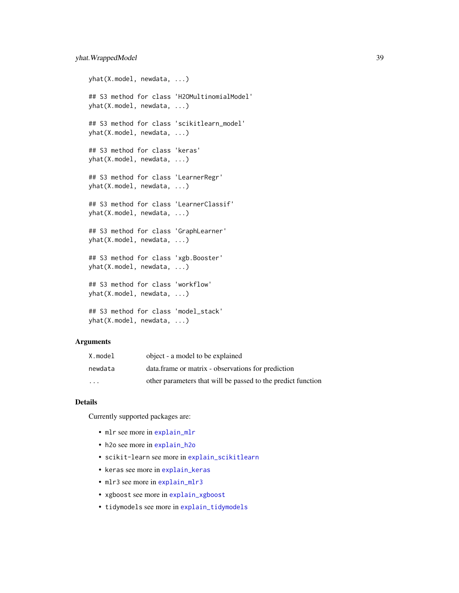```
yhat(X.model, newdata, ...)
## S3 method for class 'H2OMultinomialModel'
yhat(X.model, newdata, ...)
## S3 method for class 'scikitlearn_model'
yhat(X.model, newdata, ...)
## S3 method for class 'keras'
yhat(X.model, newdata, ...)
## S3 method for class 'LearnerRegr'
yhat(X.model, newdata, ...)
## S3 method for class 'LearnerClassif'
yhat(X.model, newdata, ...)
## S3 method for class 'GraphLearner'
yhat(X.model, newdata, ...)
## S3 method for class 'xgb.Booster'
yhat(X.model, newdata, ...)
## S3 method for class 'workflow'
yhat(X.model, newdata, ...)
## S3 method for class 'model_stack'
yhat(X.model, newdata, ...)
```
#### Arguments

| X.model                 | object - a model to be explained                             |
|-------------------------|--------------------------------------------------------------|
| newdata                 | data.frame or matrix - observations for prediction           |
| $\cdot$ $\cdot$ $\cdot$ | other parameters that will be passed to the predict function |

# Details

Currently supported packages are:

- mlr see more in [explain\\_mlr](#page-10-1)
- h2o see more in [explain\\_h2o](#page-4-1)
- scikit-learn see more in [explain\\_scikitlearn](#page-14-1)
- keras see more in [explain\\_keras](#page-7-1)
- mlr3 see more in [explain\\_mlr3](#page-12-1)
- xgboost see more in [explain\\_xgboost](#page-20-1)
- tidymodels see more in [explain\\_tidymodels](#page-18-1)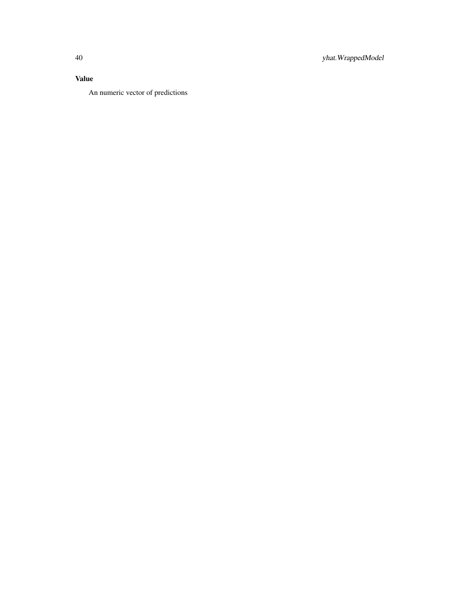# Value

An numeric vector of predictions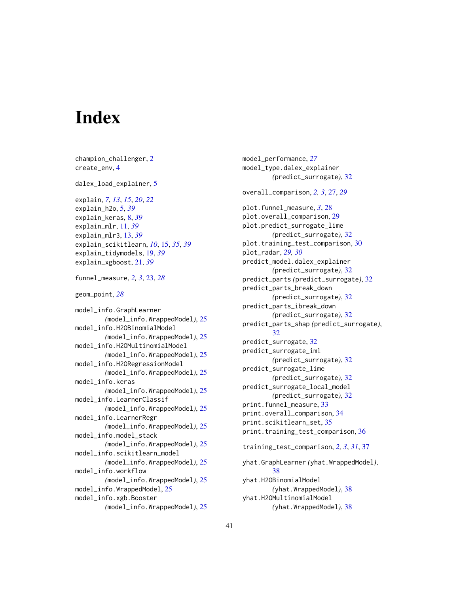# <span id="page-40-0"></span>**Index**

champion\_challenger, [2](#page-1-0) create\_env, [4](#page-3-0) dalex\_load\_explainer, [5](#page-4-0) explain, *[7](#page-6-0)*, *[13](#page-12-0)*, *[15](#page-14-0)*, *[20](#page-19-0)*, *[22](#page-21-0)* explain\_h2o, [5,](#page-4-0) *[39](#page-38-0)* explain\_keras, [8,](#page-7-0) *[39](#page-38-0)* explain\_mlr, [11,](#page-10-0) *[39](#page-38-0)* explain\_mlr3, [13,](#page-12-0) *[39](#page-38-0)* explain\_scikitlearn, *[10](#page-9-0)*, [15,](#page-14-0) *[35](#page-34-0)*, *[39](#page-38-0)* explain\_tidymodels, [19,](#page-18-0) *[39](#page-38-0)* explain\_xgboost, [21,](#page-20-0) *[39](#page-38-0)* funnel\_measure, *[2,](#page-1-0) [3](#page-2-0)*, [23,](#page-22-0) *[28](#page-27-0)* geom\_point, *[28](#page-27-0)* model\_info.GraphLearner *(*model\_info.WrappedModel*)*, [25](#page-24-0) model\_info.H2OBinomialModel *(*model\_info.WrappedModel*)*, [25](#page-24-0) model\_info.H2OMultinomialModel *(*model\_info.WrappedModel*)*, [25](#page-24-0) model\_info.H2ORegressionModel *(*model\_info.WrappedModel*)*, [25](#page-24-0) model\_info.keras *(*model\_info.WrappedModel*)*, [25](#page-24-0) model\_info.LearnerClassif *(*model\_info.WrappedModel*)*, [25](#page-24-0) model\_info.LearnerRegr *(*model\_info.WrappedModel*)*, [25](#page-24-0) model\_info.model\_stack *(*model\_info.WrappedModel*)*, [25](#page-24-0) model\_info.scikitlearn\_model *(*model\_info.WrappedModel*)*, [25](#page-24-0) model\_info.workflow *(*model\_info.WrappedModel*)*, [25](#page-24-0) model\_info.WrappedModel, [25](#page-24-0) model\_info.xgb.Booster *(*model\_info.WrappedModel*)*, [25](#page-24-0)

model\_performance, *[27](#page-26-0)* model\_type.dalex\_explainer *(*predict\_surrogate*)*, [32](#page-31-0) overall\_comparison, *[2,](#page-1-0) [3](#page-2-0)*, [27,](#page-26-0) *[29](#page-28-0)* plot.funnel\_measure, *[3](#page-2-0)*, [28](#page-27-0) plot.overall\_comparison, [29](#page-28-0) plot.predict\_surrogate\_lime *(*predict\_surrogate*)*, [32](#page-31-0) plot.training\_test\_comparison, [30](#page-29-0) plot\_radar, *[29,](#page-28-0) [30](#page-29-0)* predict\_model.dalex\_explainer *(*predict\_surrogate*)*, [32](#page-31-0) predict\_parts *(*predict\_surrogate*)*, [32](#page-31-0) predict\_parts\_break\_down *(*predict\_surrogate*)*, [32](#page-31-0) predict\_parts\_ibreak\_down *(*predict\_surrogate*)*, [32](#page-31-0) predict\_parts\_shap *(*predict\_surrogate*)*, [32](#page-31-0) predict\_surrogate, [32](#page-31-0) predict\_surrogate\_iml *(*predict\_surrogate*)*, [32](#page-31-0) predict\_surrogate\_lime *(*predict\_surrogate*)*, [32](#page-31-0) predict\_surrogate\_local\_model *(*predict\_surrogate*)*, [32](#page-31-0) print.funnel\_measure, [33](#page-32-0) print.overall\_comparison, [34](#page-33-0) print.scikitlearn\_set, [35](#page-34-0) print.training\_test\_comparison, [36](#page-35-0) training\_test\_comparison, *[2,](#page-1-0) [3](#page-2-0)*, *[31](#page-30-0)*, [37](#page-36-0) yhat.GraphLearner *(*yhat.WrappedModel*)*, [38](#page-37-0) yhat.H2OBinomialModel *(*yhat.WrappedModel*)*, [38](#page-37-0) yhat.H2OMultinomialModel *(*yhat.WrappedModel*)*, [38](#page-37-0)